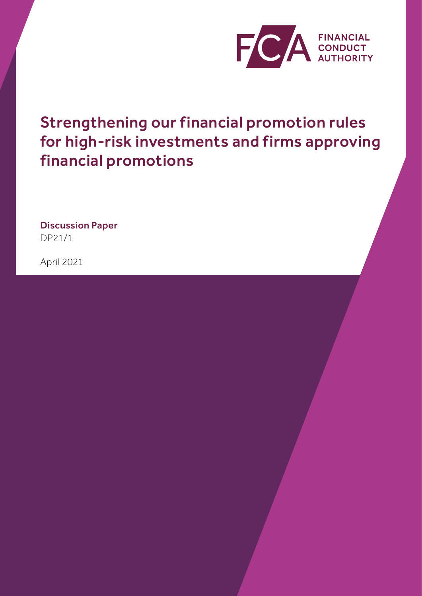

Strengthening our financial promotion rules for high-risk investments and firms approving financial promotions

Discussion Paper DP21/1

April 2021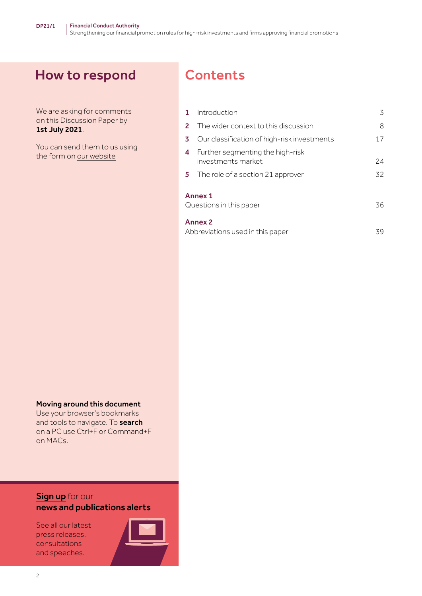# How to respond

We are asking for comments on this Discussion Paper by 1st July 2021.

You can send them to us using the form on our [website](https://www.fca.org.uk/publications/discussion-papers/dp21-1-strengthening-financial-promotion-rules-high-risk-investments-firms-approving-financial-promotions)

# **Contents**

| $\mathbf{1}$                                       | Introduction                                           | 3  |
|----------------------------------------------------|--------------------------------------------------------|----|
| $\mathbf{2}$                                       | The wider context to this discussion                   | 8  |
| 3                                                  | Our classification of high-risk investments            | 17 |
| 4                                                  | Further segmenting the high-risk<br>investments market | 24 |
| 5                                                  | The role of a section 21 approver                      | 32 |
| Annex <sub>1</sub><br>Questions in this paper      |                                                        | 36 |
| <b>Annex 2</b><br>Abbreviations used in this paper |                                                        | 39 |

#### Moving around this document

Use your browser's bookmarks and tools to navigate. To **search** on a PC use Ctrl+F or Command+F on MACs.

### **[Sign up](https://www.fca.org.uk/news-and-publications-email-alerts?doc=#utm_source=signup&utm_medium=document&utm_campaign=newsandpubs)** for our news and publications alerts

See all our latest press releases, consultations and speeches.

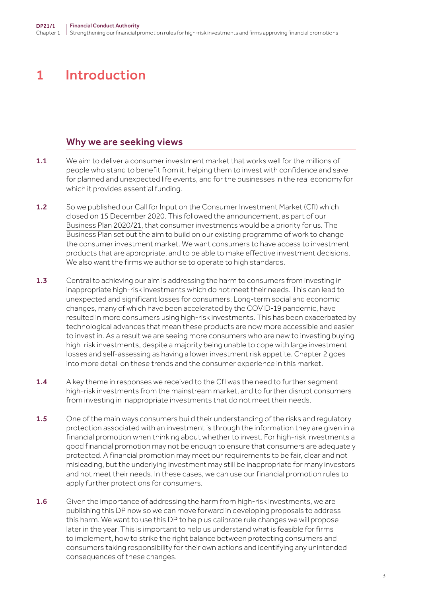# <span id="page-2-0"></span>1 Introduction

### Why we are seeking views

- 1.1 We aim to deliver a consumer investment market that works well for the millions of people who stand to benefit from it, helping them to invest with confidence and save for planned and unexpected life events, and for the businesses in the real economy for which it provides essential funding.
- 1.2 So we published our [Call for Input](https://www.fca.org.uk/publications/calls-input/consumer-investments) on the Consumer Investment Market (CfI) which closed on 15 December 2020. This followed the announcement, as part of our [Business Plan 2020/21,](https://www.fca.org.uk/publication/business-plans/business-plan-2020-21.pdf) that consumer investments would be a priority for us. The Business Plan set out the aim to build on our existing programme of work to change the consumer investment market. We want consumers to have access to investment products that are appropriate, and to be able to make effective investment decisions. We also want the firms we authorise to operate to high standards.
- 1.3 Central to achieving our aim is addressing the harm to consumers from investing in inappropriate high-risk investments which do not meet their needs. This can lead to unexpected and significant losses for consumers. Long-term social and economic changes, many of which have been accelerated by the COVID‑19 pandemic, have resulted in more consumers using high-risk investments. This has been exacerbated by technological advances that mean these products are now more accessible and easier to invest in. As a result we are seeing more consumers who are new to investing buying high-risk investments, despite a majority being unable to cope with large investment losses and self-assessing as having a lower investment risk appetite. Chapter 2 goes into more detail on these trends and the consumer experience in this market.
- 1.4 A key theme in responses we received to the CfI was the need to further segment high-risk investments from the mainstream market, and to further disrupt consumers from investing in inappropriate investments that do not meet their needs.
- 1.5 One of the main ways consumers build their understanding of the risks and regulatory protection associated with an investment is through the information they are given in a financial promotion when thinking about whether to invest. For high-risk investments a good financial promotion may not be enough to ensure that consumers are adequately protected. A financial promotion may meet our requirements to be fair, clear and not misleading, but the underlying investment may still be inappropriate for many investors and not meet their needs. In these cases, we can use our financial promotion rules to apply further protections for consumers.
- 1.6 Given the importance of addressing the harm from high-risk investments, we are publishing this DP now so we can move forward in developing proposals to address this harm. We want to use this DP to help us calibrate rule changes we will propose later in the year. This is important to help us understand what is feasible for firms to implement, how to strike the right balance between protecting consumers and consumers taking responsibility for their own actions and identifying any unintended consequences of these changes.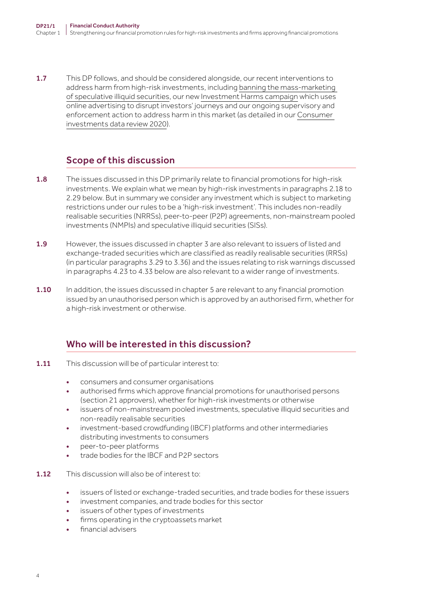1.7 This DP follows, and should be considered alongside, our recent interventions to address harm from high-risk investments, including banning the mass-marketing [of speculative illiquid securities](https://www.fca.org.uk/publications/policy-statements/ps20-15-high-risk-investments-marketing-speculative-illiquid-securities-speculative-mini-bonds-retail-investors), our new [Investment Harms campaign](https://www.fca.org.uk/news/press-releases/fca-warns-younger-investors-are-taking-big-financial-risks) which uses online advertising to disrupt investors' journeys and our ongoing supervisory and enforcement action to address harm in this market (as detailed in our [Consumer](https://www.fca.org.uk/data/consumer-investments-data-review-2020)  [investments data review 2020\)](https://www.fca.org.uk/data/consumer-investments-data-review-2020).

# Scope of this discussion

- 1.8 The issues discussed in this DP primarily relate to financial promotions for high-risk investments. We explain what we mean by high-risk investments in paragraphs 2.18 to 2.29 below. But in summary we consider any investment which is subject to marketing restrictions under our rules to be a 'high-risk investment'. This includes non-readily realisable securities (NRRSs), peer-to-peer (P2P) agreements, non-mainstream pooled investments (NMPIs) and speculative illiquid securities (SISs).
- 1.9 However, the issues discussed in chapter 3 are also relevant to issuers of listed and exchange-traded securities which are classified as readily realisable securities (RRSs) (in particular paragraphs 3.29 to 3.36) and the issues relating to risk warnings discussed in paragraphs 4.23 to 4.33 below are also relevant to a wider range of investments.
- 1.10 In addition, the issues discussed in chapter 5 are relevant to any financial promotion issued by an unauthorised person which is approved by an authorised firm, whether for a high-risk investment or otherwise.

# Who will be interested in this discussion?

- 1.11 This discussion will be of particular interest to:
	- consumers and consumer organisations
	- authorised firms which approve financial promotions for unauthorised persons (section 21 approvers), whether for high-risk investments or otherwise
	- issuers of non-mainstream pooled investments, speculative illiquid securities and non‑readily realisable securities
	- investment-based crowdfunding (IBCF) platforms and other intermediaries distributing investments to consumers
	- peer-to-peer platforms
	- trade bodies for the IBCF and P2P sectors
- 1.12 This discussion will also be of interest to:
	- issuers of listed or exchange-traded securities, and trade bodies for these issuers
	- investment companies, and trade bodies for this sector
	- issuers of other types of investments
	- firms operating in the cryptoassets market
	- financial advisers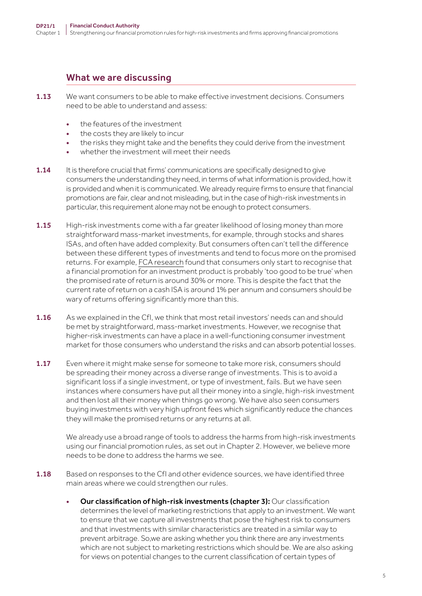### What we are discussing

- 1.13 We want consumers to be able to make effective investment decisions. Consumers need to be able to understand and assess:
	- the features of the investment.
	- the costs they are likely to incur
	- the risks they might take and the benefits they could derive from the investment
	- whether the investment will meet their needs
- 1.14 It is therefore crucial that firms' communications are specifically designed to give consumers the understanding they need, in terms of what information is provided, how it is provided and when it is communicated. We already require firms to ensure that financial promotions are fair, clear and not misleading, but in the case of high-risk investments in particular, this requirement alone may not be enough to protect consumers.
- 1.15 High-risk investments come with a far greater likelihood of losing money than more straightforward mass-market investments, for example, through stocks and shares ISAs, and often have added complexity. But consumers often can't tell the difference between these different types of investments and tend to focus more on the promised returns. For example, [FCA research](https://www.fca.org.uk/publication/research/research-note-choosing-wisely-preferences-comprehension-effect-risk-warnings-financial-promotion-investment-products.pdf) found that consumers only start to recognise that a financial promotion for an investment product is probably 'too good to be true' when the promised rate of return is around 30% or more. This is despite the fact that the current rate of return on a cash ISA is around 1% per annum and consumers should be wary of returns offering significantly more than this.
- 1.16 As we explained in the CfI, we think that most retail investors' needs can and should be met by straightforward, mass-market investments. However, we recognise that higher-risk investments can have a place in a well-functioning consumer investment market for those consumers who understand the risks and can absorb potential losses.
- **1.17** Even where it might make sense for someone to take more risk, consumers should be spreading their money across a diverse range of investments. This is to avoid a significant loss if a single investment, or type of investment, fails. But we have seen instances where consumers have put all their money into a single, high-risk investment and then lost all their money when things go wrong. We have also seen consumers buying investments with very high upfront fees which significantly reduce the chances they will make the promised returns or any returns at all.

We already use a broad range of tools to address the harms from high-risk investments using our financial promotion rules, as set out in Chapter 2. However, we believe more needs to be done to address the harms we see.

- 1.18 Based on responses to the CfI and other evidence sources, we have identified three main areas where we could strengthen our rules.
	- Our classification of high-risk investments (chapter 3): Our classification determines the level of marketing restrictions that apply to an investment. We want to ensure that we capture all investments that pose the highest risk to consumers and that investments with similar characteristics are treated in a similar way to prevent arbitrage. So,we are asking whether you think there are any investments which are not subject to marketing restrictions which should be. We are also asking for views on potential changes to the current classification of certain types of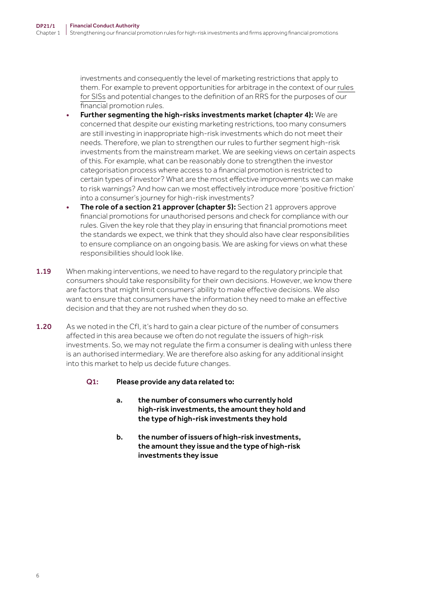investments and consequently the level of marketing restrictions that apply to them. For example to prevent opportunities for arbitrage in the context of our [rules](https://www.handbook.fca.org.uk/handbook/COBS/4/14.html)  [for SISs](https://www.handbook.fca.org.uk/handbook/COBS/4/14.html) and potential changes to the definition of an RRS for the purposes of our financial promotion rules.

- Further segmenting the high-risks investments market (chapter 4): We are concerned that despite our existing marketing restrictions, too many consumers are still investing in inappropriate high-risk investments which do not meet their needs. Therefore, we plan to strengthen our rules to further segment high-risk investments from the mainstream market. We are seeking views on certain aspects of this. For example, what can be reasonably done to strengthen the investor categorisation process where access to a financial promotion is restricted to certain types of investor? What are the most effective improvements we can make to risk warnings? And how can we most effectively introduce more 'positive friction' into a consumer's journey for high-risk investments?
- The role of a section 21 approver (chapter 5): Section 21 approvers approve financial promotions for unauthorised persons and check for compliance with our rules. Given the key role that they play in ensuring that financial promotions meet the standards we expect, we think that they should also have clear responsibilities to ensure compliance on an ongoing basis. We are asking for views on what these responsibilities should look like.
- 1.19 When making interventions, we need to have regard to the regulatory principle that consumers should take responsibility for their own decisions. However, we know there are factors that might limit consumers' ability to make effective decisions. We also want to ensure that consumers have the information they need to make an effective decision and that they are not rushed when they do so.
- 1.20 As we noted in the CfI, it's hard to gain a clear picture of the number of consumers affected in this area because we often do not regulate the issuers of high-risk investments. So, we may not regulate the firm a consumer is dealing with unless there is an authorised intermediary. We are therefore also asking for any additional insight into this market to help us decide future changes.
	- Q1: Please provide any data related to:
		- a. the number of consumers who currently hold high-risk investments, the amount they hold and the type of high-risk investments they hold
		- b. the number of issuers of high-risk investments, the amount they issue and the type of high-risk investments they issue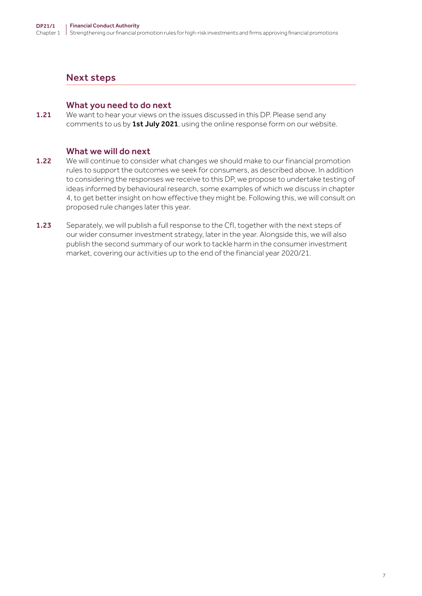### Next steps

#### What you need to do next

**1.21** We want to hear your views on the issues discussed in this DP. Please send any comments to us by 1st July 2021, using the online response form on our website.

#### What we will do next

- 1.22 We will continue to consider what changes we should make to our financial promotion rules to support the outcomes we seek for consumers, as described above. In addition to considering the responses we receive to this DP, we propose to undertake testing of ideas informed by behavioural research, some examples of which we discuss in chapter 4, to get better insight on how effective they might be. Following this, we will consult on proposed rule changes later this year.
- 1.23 Separately, we will publish a full response to the Cfl, together with the next steps of our wider consumer investment strategy, later in the year. Alongside this, we will also publish the second summary of our work to tackle harm in the consumer investment market, covering our activities up to the end of the financial year 2020/21.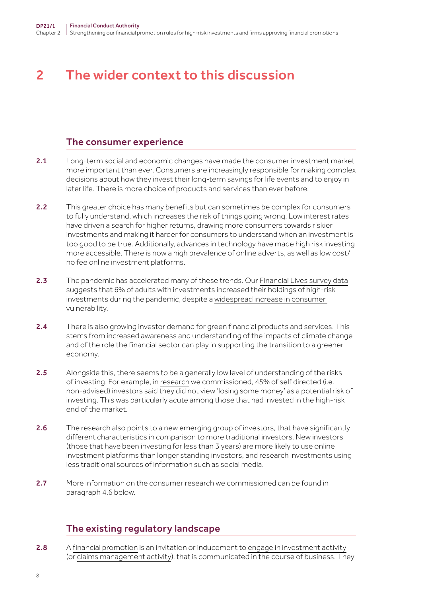# <span id="page-7-0"></span>2 The wider context to this discussion

### The consumer experience

- 2.1 Long-term social and economic changes have made the consumer investment market more important than ever. Consumers are increasingly responsible for making complex decisions about how they invest their long-term savings for life events and to enjoy in later life. There is more choice of products and services than ever before.
- 2.2 This greater choice has many benefits but can sometimes be complex for consumers to fully understand, which increases the risk of things going wrong. Low interest rates have driven a search for higher returns, drawing more consumers towards riskier investments and making it harder for consumers to understand when an investment is too good to be true. Additionally, advances in technology have made high risk investing more accessible. There is now a high prevalence of online adverts, as well as low cost/ no fee online investment platforms.
- 2.3 The pandemic has accelerated many of these trends. Our [Financial Lives survey data](https://www.fca.org.uk/publications/research/financial-lives-2020-survey-impact-coronavirus) suggests that 6% of adults with investments increased their holdings of high-risk investments during the pandemic, despite a [widespread increase in consumer](https://www.fca.org.uk/news/press-releases/fca-finds-covid-19-pandemic-leaves-over-quarter-uk-adults-low-financial-resilience)  [vulnerability](https://www.fca.org.uk/news/press-releases/fca-finds-covid-19-pandemic-leaves-over-quarter-uk-adults-low-financial-resilience).
- 2.4 There is also growing investor demand for green financial products and services. This stems from increased awareness and understanding of the impacts of climate change and of the role the financial sector can play in supporting the transition to a greener economy.
- 2.5 Alongside this, there seems to be a generally low level of understanding of the risks of investing. For example, in [research](https://www.fca.org.uk/publication/research/understanding-self-directed-investors.pdf) we commissioned, 45% of self directed (i.e. non‑advised) investors said they did not view 'losing some money' as a potential risk of investing. This was particularly acute among those that had invested in the high-risk end of the market.
- 2.6 The research also points to a new emerging group of investors, that have significantly different characteristics in comparison to more traditional investors. New investors (those that have been investing for less than 3 years) are more likely to use online investment platforms than longer standing investors, and research investments using less traditional sources of information such as social media.
- 2.7 More information on the consumer research we commissioned can be found in paragraph 4.6 below.

# The existing regulatory landscape

2.8 A [financial promotion](https://www.handbook.fca.org.uk/handbook/glossary/G421.html) is an invitation or inducement to [engage in investment activity](https://www.handbook.fca.org.uk/handbook/glossary/G375.html) (or [claims management activity](https://www.handbook.fca.org.uk/handbook/glossary/G93518e.html)), that is communicated in the course of business. They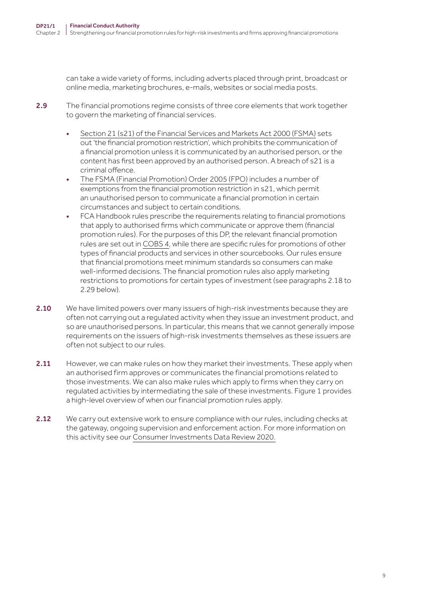can take a wide variety of forms, including adverts placed through print, broadcast or online media, marketing brochures, e‑mails, websites or social media posts.

- 2.9 The financial promotions regime consists of three core elements that work together to govern the marketing of financial services.
	- S[ection 21 \(s21\) of the Financial Services and Markets Act 2000 \(FSMA\)](https://www.legislation.gov.uk/ukpga/2000/8/section/21) sets out 'the financial promotion restriction', which prohibits the communication of a financial promotion unless it is communicated by an authorised person, or the content has first been approved by an authorised person. A breach of s21 is a criminal offence.
	- T[he FSMA \(Financial Promotion\) Order 2005 \(FPO\)](https://www.legislation.gov.uk/uksi/2005/1529/contents/made) includes a number of exemptions from the financial promotion restriction in s21, which permit an unauthorised person to communicate a financial promotion in certain circumstances and subject to certain conditions.
	- FCA Handbook rules prescribe the requirements relating to financial promotions that apply to authorised firms which communicate or approve them (financial promotion rules). For the purposes of this DP, the relevant financial promotion rules are set out in [COBS 4,](https://www.handbook.fca.org.uk/handbook/COBS/4/?view=chapter) while there are specific rules for promotions of other types of financial products and services in other sourcebooks. Our rules ensure that financial promotions meet minimum standards so consumers can make well-informed decisions. The financial promotion rules also apply marketing restrictions to promotions for certain types of investment (see paragraphs 2.18 to 2.29 below).
- 2.10 We have limited powers over many issuers of high-risk investments because they are often not carrying out a regulated activity when they issue an investment product, and so are unauthorised persons. In particular, this means that we cannot generally impose requirements on the issuers of high-risk investments themselves as these issuers are often not subject to our rules.
- 2.11 However, we can make rules on how they market their investments. These apply when an authorised firm approves or communicates the financial promotions related to those investments. We can also make rules which apply to firms when they carry on regulated activities by intermediating the sale of these investments. Figure 1 provides a high-level overview of when our financial promotion rules apply.
- 2.12 We carry out extensive work to ensure compliance with our rules, including checks at the gateway, ongoing supervision and enforcement action. For more information on this activity see our [Consumer Investments Data Review 2020.](https://www.fca.org.uk/data/consumer-investments-data-review-2020)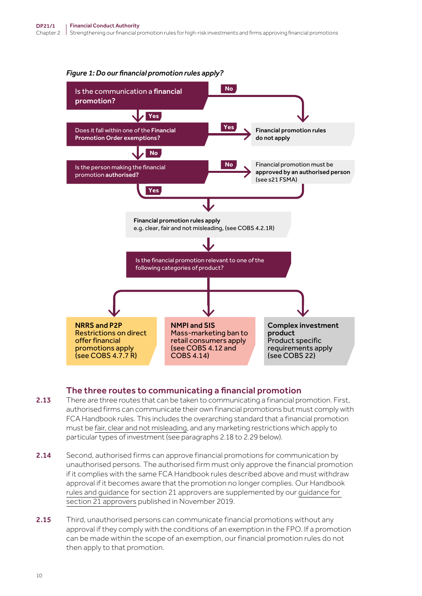

#### *Figure 1: Do our financial promotion rules apply?*

#### The three routes to communicating a financial promotion

- 2.13 There are three routes that can be taken to communicating a financial promotion. First, authorised firms can communicate their own financial promotions but must comply with FCA Handbook rules. This includes the overarching standard that a financial promotion must be [fair, clear and not misleading,](https://www.handbook.fca.org.uk/handbook/COBS/4/2.html) and any marketing restrictions which apply to particular types of investment (see paragraphs 2.18 to 2.29 below).
- 2.14 Second, authorised firms can approve financial promotions for communication by unauthorised persons. The authorised firm must only approve the financial promotion if it complies with the same FCA Handbook rules described above and must withdraw approval if it becomes aware that the promotion no longer complies. Our Handbook [rules and guidance](https://www.handbook.fca.org.uk/handbook/COBS/4/10.html) for section 21 approvers are supplemented by our [guidance for](https://www.fca.org.uk/firms/financial-promotions-and-adverts/approving-financial-promotions)  [section 21 approvers](https://www.fca.org.uk/firms/financial-promotions-and-adverts/approving-financial-promotions) published in November 2019.
- 2.15 Third, unauthorised persons can communicate financial promotions without any approval if they comply with the conditions of an exemption in the FPO. If a promotion can be made within the scope of an exemption, our financial promotion rules do not then apply to that promotion.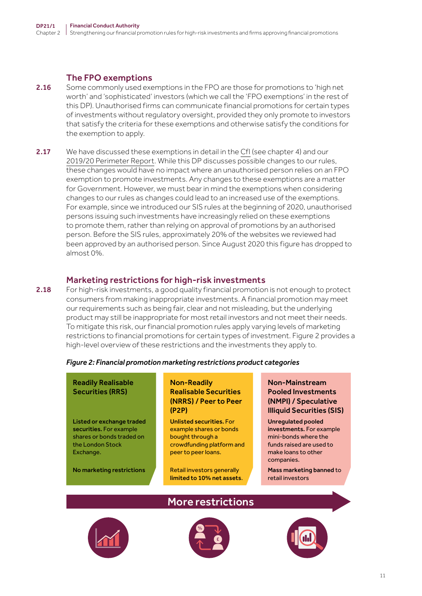#### The FPO exemptions

- 2.16 Some commonly used exemptions in the FPO are those for promotions to 'high net worth' and 'sophisticated' investors (which we call the 'FPO exemptions' in the rest of this DP). Unauthorised firms can communicate financial promotions for certain types of investments without regulatory oversight, provided they only promote to investors that satisfy the criteria for these exemptions and otherwise satisfy the conditions for the exemption to apply.
- 2.17 We have discussed these exemptions in detail in the [CfI](https://www.fca.org.uk/publications/calls-input/consumer-investments) (see chapter 4) and our [2019/20 Perimeter Report.](https://www.fca.org.uk/publication/annual-reports/perimeter-report-2019-20.pdf) While this DP discusses possible changes to our rules, these changes would have no impact where an unauthorised person relies on an FPO exemption to promote investments. Any changes to these exemptions are a matter for Government. However, we must bear in mind the exemptions when considering changes to our rules as changes could lead to an increased use of the exemptions. For example, since we introduced our SIS rules at the beginning of 2020, unauthorised persons issuing such investments have increasingly relied on these exemptions to promote them, rather than relying on approval of promotions by an authorised person. Before the SIS rules, approximately 20% of the websites we reviewed had been approved by an authorised person. Since August 2020 this figure has dropped to almost 0%.

### Marketing restrictions for high-risk investments

2.18 For high-risk investments, a good quality financial promotion is not enough to protect consumers from making inappropriate investments. A financial promotion may meet our requirements such as being fair, clear and not misleading, but the underlying product may still be inappropriate for most retail investors and not meet their needs. To mitigate this risk, our financial promotion rules apply varying levels of marketing restrictions to financial promotions for certain types of investment. Figure 2 provides a high-level overview of these restrictions and the investments they apply to.

#### *Figure 2: Financial promotion marketing restrictions product categories*

#### Readily Realisable Securities (RRS)

Listed or exchange traded securities. For example shares or bonds traded on the London Stock Exchange.

No marketing restrictions

#### Non-Readily Realisable Securities (NRRS) / Peer to Peer (P2P)

Unlisted securities. For example shares or bonds bought through a crowdfunding platform and peer to peer loans.

Retail investors generally limited to 10% net assets.

More restrictions

#### Non-Mainstream Pooled Investments (NMPI) / Speculative Illiquid Securities (SIS)

Unregulated pooled investments. For example mini-bonds where the funds raised are used to make loans to other companies.

Mass marketing banned to retail investors



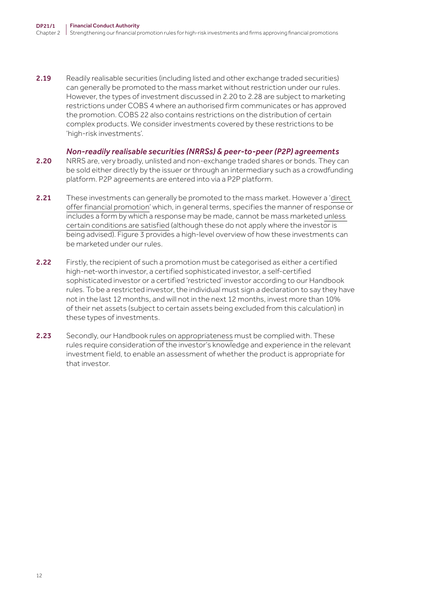2.19 Readily realisable securities (including listed and other exchange traded securities) can generally be promoted to the mass market without restriction under our rules. However, the types of investment discussed in 2.20 to 2.28 are subject to marketing restrictions under COBS 4 where an authorised firm communicates or has approved the promotion. COBS 22 also contains restrictions on the distribution of certain complex products. We consider investments covered by these restrictions to be 'high-risk investments'.

#### *Non‑readily realisable securities (NRRSs) & peer‑to‑peer (P2P) agreements*

- 2.20 NRRS are, very broadly, unlisted and non-exchange traded shares or bonds. They can be sold either directly by the issuer or through an intermediary such as a crowdfunding platform. P2P agreements are entered into via a P2P platform.
- 2.21 These investments can generally be promoted to the mass market. However a 'direct [offer financial promotion'](https://www.handbook.fca.org.uk/handbook/glossary/?filter-title=direct+offer+financial+promotion) which, in general terms, specifies the manner of response or includes a form by which a response may be made, cannot be mass marketed [unless](https://www.handbook.fca.org.uk/handbook/COBS/4/7.html)  [certain conditions are satisfied](https://www.handbook.fca.org.uk/handbook/COBS/4/7.html) (although these do not apply where the investor is being advised). Figure 3 provides a high-level overview of how these investments can be marketed under our rules.
- 2.22 Firstly, the recipient of such a promotion must be categorised as either a certified high-net-worth investor, a certified sophisticated investor, a self-certified sophisticated investor or a certified 'restricted' investor according to our Handbook rules. To be a restricted investor, the individual must sign a declaration to say they have not in the last 12 months, and will not in the next 12 months, invest more than 10% of their net assets (subject to certain assets being excluded from this calculation) in these types of investments.
- 2.23 Secondly, our Handbook [rules on appropriateness](https://www.handbook.fca.org.uk/handbook/COBS/10/?view=chapter) must be complied with. These rules require consideration of the investor's knowledge and experience in the relevant investment field, to enable an assessment of whether the product is appropriate for that investor.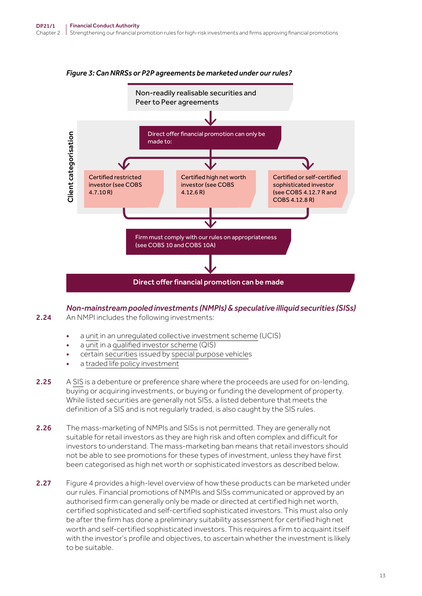

#### *Figure 3: Can NRRSs or P2P agreements be marketed under our rules?*

*Non‑mainstream pooled investments (NMPIs) & speculative illiquid securities (SISs)* 2.24 An NMPI includes the following investments:

- a [unit](https://www.handbook.fca.org.uk/handbook/glossary/G1230.html) in an [unregulated collective investment scheme](https://www.handbook.fca.org.uk/handbook/glossary/G1237.html) (UCIS)
- a [unit](https://www.handbook.fca.org.uk/handbook/glossary/G1230.html) in a [qualified investor scheme](https://www.handbook.fca.org.uk/handbook/glossary/G937.html) (QIS)
- certain [securiti](https://www.handbook.fca.org.uk/handbook/glossary/G1061.html)es issued by [special purpose vehicles](https://www.handbook.fca.org.uk/handbook/glossary/G1113.html)
- a [traded life policy investment](https://www.handbook.fca.org.uk/handbook/glossary/G3068.html)
- 2.25 A [SIS](https://www.handbook.fca.org.uk/handbook/COBS/4/14.html#D462128) is a debenture or preference share where the proceeds are used for on-lending, buying or acquiring investments, or buying or funding the development of property. While listed securities are generally not SISs, a listed debenture that meets the definition of a SIS and is not regularly traded, is also caught by the SIS rules.
- 2.26 The mass-marketing of NMPIs and SISs is not permitted. They are generally not suitable for retail investors as they are high risk and often complex and difficult for investors to understand. The mass-marketing ban means that retail investors should not be able to see promotions for these types of investment, unless they have first been categorised as high net worth or sophisticated investors as described below.
- 2.27 Figure 4 provides a high-level overview of how these products can be marketed under our rules. Financial promotions of NMPIs and SISs communicated or approved by an authorised firm can generally only be made or directed at certified high net worth, certified sophisticated and self‑certified sophisticated investors. This must also only be after the firm has done a preliminary suitability assessment for certified high net worth and self‑certified sophisticated investors. This requires a firm to acquaint itself with the investor's profile and objectives, to ascertain whether the investment is likely to be suitable.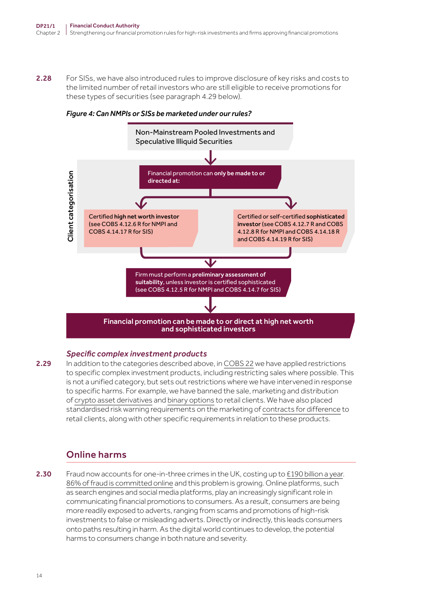2.28 For SISs, we have also introduced rules to improve disclosure of key risks and costs to the limited number of retail investors who are still eligible to receive promotions for these types of securities (see paragraph 4.29 below).



*Figure 4: Can NMPIs or SISs be marketed under our rules?*

#### *Specific complex investment products*

2.29 In addition to the categories described above, in [COBS 22](https://www.handbook.fca.org.uk/handbook/COBS/22/?view=chapter) we have applied restrictions to [specific complex investment products,](https://www.handbook.fca.org.uk/handbook/COBS/22/?view=chapter) including restricting sales where possible. This is not a unified category, but sets out restrictions where we have intervened in response to specific harms. For example, we have banned the sale, marketing and distribution of [crypto asset derivatives](https://www.fca.org.uk/publications/policy-statements/ps20-10-prohibiting-sale-retail-clients-investment-products-reference-cryptoassets) and [binary options](https://www.fca.org.uk/publications/policy-statements/ps19-11-product-intervention-measures-retail-binary-options) to retail clients. We have also placed standardised risk warning requirements on the marketing of [contracts for difference](https://www.fca.org.uk/publications/policy-statements/ps19-18-restricting-contract-difference-products) to retail clients, along with other specific requirements in relation to these products.

# Online harms

2.30 Fraud now accounts for one-in-three crimes in the UK, costing up to [£190 billion a year](https://www.nationalcrimeagency.gov.uk/what-we-do/crime-threats/fraud-and-economic-crime). [86% of fraud is committed online](https://www.bbc.co.uk/news/uk-51246926#:~:text=It%20is%20estimated%2086%25%20of,that%20specialises%20in%20fraud%20investigations) and this problem is growing. Online platforms, such as search engines and social media platforms, play an increasingly significant role in communicating financial promotions to consumers. As a result, consumers are being more readily exposed to adverts, ranging from scams and promotions of high-risk investments to false or misleading adverts. Directly or indirectly, this leads consumers onto paths resulting in harm. As the digital world continues to develop, the potential harms to consumers change in both nature and severity.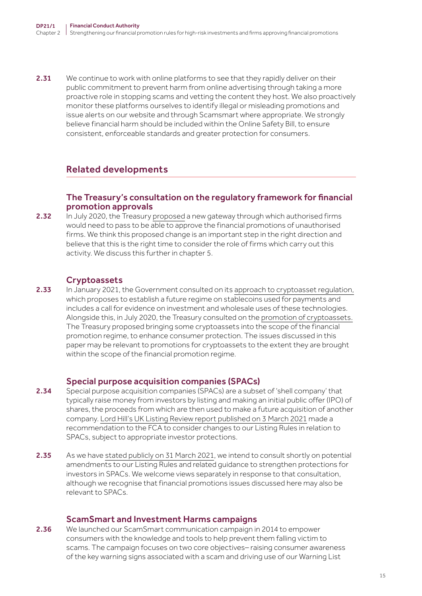2.31 We continue to work with online platforms to see that they rapidly deliver on their public commitment to prevent harm from online advertising through taking a more proactive role in stopping scams and vetting the content they host. We also proactively monitor these platforms ourselves to identify illegal or misleading promotions and issue alerts on our website and through Scamsmart where appropriate. We strongly believe financial harm should be included within the Online Safety Bill, to ensure consistent, enforceable standards and greater protection for consumers.

# Related developments

#### The Treasury's consultation on the regulatory framework for financial promotion approvals

2.32 In July 2020, the [Treasury proposed](https://assets.publishing.service.gov.uk/government/uploads/system/uploads/attachment_data/file/902101/Financial_Promotions_Unauthorised_Firms_Consultation.pdf) a new gateway through which authorised firms would need to pass to be able to approve the financial promotions of unauthorised firms. We think this proposed change is an important step in the right direction and believe that this is the right time to consider the role of firms which carry out this activity. We discuss this further in chapter 5.

### **Cryptoassets**

2.33 In January 2021, the Government consulted on its [approach to cryptoasset regulation,](https://assets.publishing.service.gov.uk/government/uploads/system/uploads/attachment_data/file/950206/HM_Treasury_Cryptoasset_and_Stablecoin_consultation.pdf) which proposes to establish a future regime on stablecoins used for payments and includes a call for evidence on investment and wholesale uses of these technologies. Alongside this, in July 2020, the Treasury consulted on the [promotion of cryptoassets.](https://assets.publishing.service.gov.uk/government/uploads/system/uploads/attachment_data/file/902891/Cryptoasset_promotions_consultation.pdf) The Treasury proposed bringing some cryptoassets into the scope of the financial promotion regime, to enhance consumer protection. The issues discussed in this paper may be relevant to promotions for cryptoassets to the extent they are brought within the scope of the financial promotion regime.

#### Special purpose acquisition companies (SPACs)

- 2.34 Special purpose acquisition companies (SPACs) are a subset of 'shell company' that typically raise money from investors by listing and making an initial public offer (IPO) of shares, the proceeds from which are then used to make a future acquisition of another company. [Lord Hill's UK Listing Review report published on 3 March 2021](https://assets.publishing.service.gov.uk/government/uploads/system/uploads/attachment_data/file/966133/UK_Listing_Review_3_March.pdf) made a recommendation to the FCA to consider changes to our Listing Rules in relation to SPACs, subject to appropriate investor protections.
- 2.35 As we have [stated publicly on 31 March 2021](https://www.fca.org.uk/news/statements/future-consultation-strengthening-investor-protections-spacs), we intend to consult shortly on potential amendments to our Listing Rules and related guidance to strengthen protections for investors in SPACs. We welcome views separately in response to that consultation, although we recognise that financial promotions issues discussed here may also be relevant to SPACs.

#### ScamSmart and Investment Harms campaigns

2.36 We launched our ScamSmart communication campaign in 2014 to empower consumers with the knowledge and tools to help prevent them falling victim to scams. The campaign focuses on two core objectives– raising consumer awareness of the key warning signs associated with a scam and driving use of our Warning List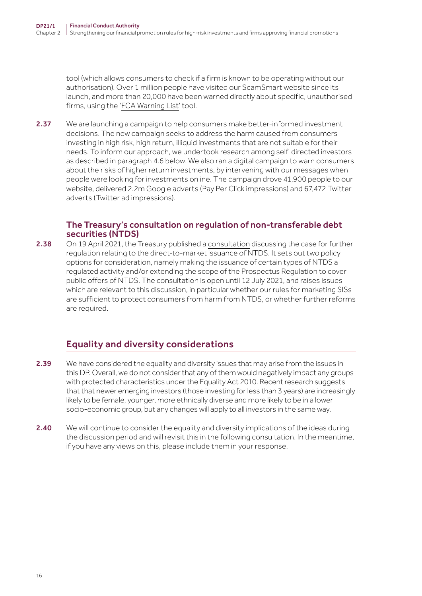tool (which allows consumers to check if a firm is known to be operating without our authorisation). Over 1 million people have visited our ScamSmart website since its launch, and more than 20,000 have been warned directly about specific, unauthorised firms, using the '[FCA Warning List](https://www.fca.org.uk/scamsmart/warning-list)' tool.

2.37 We are [launching a campaign](https://www.fca.org.uk/news/press-releases/fca-warns-younger-investors-are-taking-big-financial-risks) to help consumers make better-informed investment decisions. The new campaign seeks to address the harm caused from consumers investing in high risk, high return, illiquid investments that are not suitable for their needs. To inform our approach, we undertook research among self‑directed investors as described in paragraph 4.6 below. We also ran a digital campaign to warn consumers about the risks of higher return investments, by intervening with our messages when people were looking for investments online. The campaign drove 41,900 people to our website, delivered 2.2m Google adverts (Pay Per Click impressions) and 67,472 Twitter adverts (Twitter ad impressions).

#### The Treasury's consultation on regulation of non-transferable debt securities (NTDS)

2.38 On 19 April 2021, the Treasury published a [consultation](https://www.gov.uk/government/consultations/regulation-of-non-transferable-debt-securities-mini-bonds-a-consultation) discussing the case for further regulation relating to the direct-to-market issuance of NTDS. It sets out two policy options for consideration, namely making the issuance of certain types of NTDS a regulated activity and/or extending the scope of the Prospectus Regulation to cover public offers of NTDS. The consultation is open until 12 July 2021, and raises issues which are relevant to this discussion, in particular whether our rules for marketing SISs are sufficient to protect consumers from harm from NTDS, or whether further reforms are required.

# Equality and diversity considerations

- 2.39 We have considered the equality and diversity issues that may arise from the issues in this DP. Overall, we do not consider that any of them would negatively impact any groups with protected characteristics under the Equality Act 2010. Recent research suggests that that newer emerging investors (those investing for less than 3 years) are increasingly likely to be female, younger, more ethnically diverse and more likely to be in a lower socio-economic group, but any changes will apply to all investors in the same way.
- 2.40 We will continue to consider the equality and diversity implications of the ideas during the discussion period and will revisit this in the following consultation. In the meantime, if you have any views on this, please include them in your response.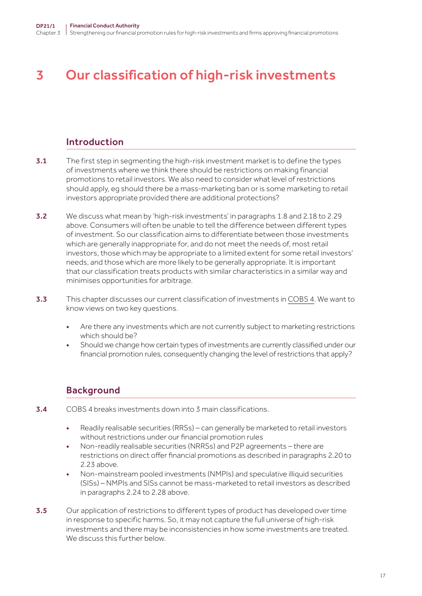# <span id="page-16-0"></span>3 Our classification of high-risk investments

# Introduction

- 3.1 The first step in segmenting the high-risk investment market is to define the types of investments where we think there should be restrictions on making financial promotions to retail investors. We also need to consider what level of restrictions should apply, eg should there be a mass-marketing ban or is some marketing to retail investors appropriate provided there are additional protections?
- **3.2** We discuss what mean by 'high-risk investments' in paragraphs 1.8 and 2.18 to 2.29 above. Consumers will often be unable to tell the difference between different types of investment. So our classification aims to differentiate between those investments which are generally inappropriate for, and do not meet the needs of, most retail investors, those which may be appropriate to a limited extent for some retail investors' needs, and those which are more likely to be generally appropriate. It is important that our classification treats products with similar characteristics in a similar way and minimises opportunities for arbitrage.
- 3.3 This chapter discusses our current classification of investments in [COBS 4](https://www.handbook.fca.org.uk/handbook/COBS/4/?view=chapter). We want to know views on two key questions.
	- Are there any investments which are not currently subject to marketing restrictions which should be?
	- Should we change how certain types of investments are currently classified under our financial promotion rules, consequently changing the level of restrictions that apply?

# **Background**

- 3.4 COBS 4 breaks investments down into 3 main classifications.
	- Readily realisable securities (RRSs) can generally be marketed to retail investors without restrictions under our financial promotion rules
	- Non-readily realisable securities (NRRSs) and P2P agreements there are restrictions on direct offer financial promotions as described in paragraphs 2.20 to 2.23 above.
	- Non‑mainstream pooled investments (NMPIs) and speculative illiquid securities (SISs) – NMPIs and SISs cannot be mass‑marketed to retail investors as described in paragraphs 2.24 to 2.28 above.
- **3.5** Our application of restrictions to different types of product has developed over time in response to specific harms. So, it may not capture the full universe of high-risk investments and there may be inconsistencies in how some investments are treated. We discuss this further below.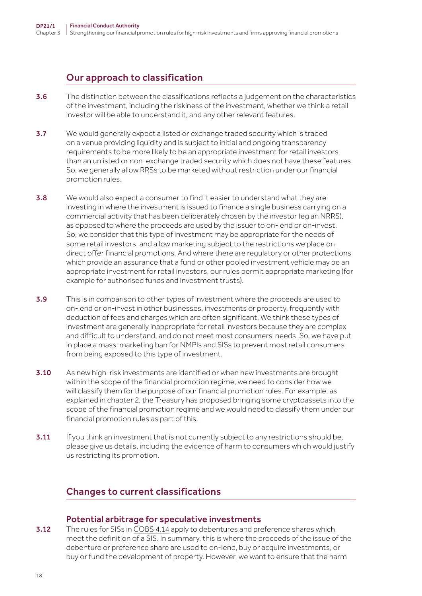# Our approach to classification

- 3.6 The distinction between the classifications reflects a judgement on the characteristics of the investment, including the riskiness of the investment, whether we think a retail investor will be able to understand it, and any other relevant features.
- 3.7 We would generally expect a listed or exchange traded security which is traded on a venue providing liquidity and is subject to initial and ongoing transparency requirements to be more likely to be an appropriate investment for retail investors than an unlisted or non‑exchange traded security which does not have these features. So, we generally allow RRSs to be marketed without restriction under our financial promotion rules.
- 3.8 We would also expect a consumer to find it easier to understand what they are investing in where the investment is issued to finance a single business carrying on a commercial activity that has been deliberately chosen by the investor (eg an NRRS), as opposed to where the proceeds are used by the issuer to on-lend or on-invest. So, we consider that this type of investment may be appropriate for the needs of some retail investors, and allow marketing subject to the restrictions we place on direct offer financial promotions. And where there are regulatory or other protections which provide an assurance that a fund or other pooled investment vehicle may be an appropriate investment for retail investors, our rules permit appropriate marketing (for example for authorised funds and investment trusts).
- **3.9** This is in comparison to other types of investment where the proceeds are used to on-lend or on-invest in other businesses, investments or property, frequently with deduction of fees and charges which are often significant. We think these types of investment are generally inappropriate for retail investors because they are complex and difficult to understand, and do not meet most consumers' needs. So, we have put in place a mass-marketing ban for NMPIs and SISs to prevent most retail consumers from being exposed to this type of investment.
- 3.10 As new high-risk investments are identified or when new investments are brought within the scope of the financial promotion regime, we need to consider how we will classify them for the purpose of our financial promotion rules. For example, as explained in chapter 2, the Treasury has proposed bringing some cryptoassets into the scope of the financial promotion regime and we would need to classify them under our financial promotion rules as part of this.
- 3.11 If you think an investment that is not currently subject to any restrictions should be, please give us details, including the evidence of harm to consumers which would justify us restricting its promotion.

# Changes to current classifications

#### Potential arbitrage for speculative investments

**3.12** The rules for SISs in [COBS 4.14](https://www.handbook.fca.org.uk/handbook/COBS/4/14.html) apply to debentures and preference shares which meet the definition of a SIS. In summary, this is where the proceeds of the issue of the debenture or preference share are used to on-lend, buy or acquire investments, or buy or fund the development of property. However, we want to ensure that the harm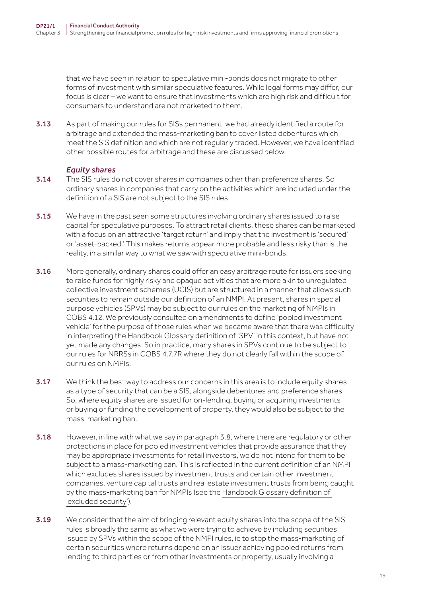that we have seen in relation to speculative mini-bonds does not migrate to other forms of investment with similar speculative features. While legal forms may differ, our focus is clear – we want to ensure that investments which are high risk and difficult for consumers to understand are not marketed to them.

3.13 As part of making our rules for SISs permanent, we had already identified a route for arbitrage and extended the mass‑marketing ban to cover listed debentures which meet the SIS definition and which are not regularly traded. However, we have identified other possible routes for arbitrage and these are discussed below.

#### *Equity shares*

- 3.14 The SIS rules do not cover shares in companies other than preference shares. So ordinary shares in companies that carry on the activities which are included under the definition of a SIS are not subject to the SIS rules.
- **3.15** We have in the past seen some structures involving ordinary shares issued to raise capital for speculative purposes. To attract retail clients, these shares can be marketed with a focus on an attractive 'target return' and imply that the investment is 'secured' or 'asset-backed.' This makes returns appear more probable and less risky than is the reality, in a similar way to what we saw with speculative mini-bonds.
- 3.16 More generally, ordinary shares could offer an easy arbitrage route for issuers seeking to raise funds for highly risky and opaque activities that are more akin to unregulated collective investment schemes (UCIS) but are structured in a manner that allows such securities to remain outside our definition of an NMPI. At present, shares in special purpose vehicles (SPVs) may be subject to our rules on the marketing of NMPIs in [COBS 4.12](https://www.handbook.fca.org.uk/handbook/COBS/4/12.html). We [previously consulted](https://www.fca.org.uk/publication/consultation/cp16-17.pdf) on amendments to define 'pooled investment vehicle' for the purpose of those rules when we became aware that there was difficulty in interpreting the Handbook Glossary definition of 'SPV' in this context, but have not yet made any changes. So in practice, many shares in SPVs continue to be subject to our rules for NRRSs in [COBS 4.7.7R](https://www.handbook.fca.org.uk/handbook/COBS/4/7.html) where they do not clearly fall within the scope of our rules on NMPIs.
- 3.17 We think the best way to address our concerns in this area is to include equity shares as a type of security that can be a SIS, alongside debentures and preference shares. So, where equity shares are issued for on-lending, buying or acquiring investments or buying or funding the development of property, they would also be subject to the mass‑marketing ban.
- 3.18 However, in line with what we say in paragraph 3.8, where there are regulatory or other protections in place for pooled investment vehicles that provide assurance that they may be appropriate investments for retail investors, we do not intend for them to be subject to a mass-marketing ban. This is reflected in the current definition of an NMPI which excludes shares issued by investment trusts and certain other investment companies, venture capital trusts and real estate investment trusts from being caught by the mass‑marketing ban for NMPIs (see the [Handbook Glossary definition of](https://www.handbook.fca.org.uk/handbook/glossary/G3062.html?filter-title=excluded security)  ['excluded security](https://www.handbook.fca.org.uk/handbook/glossary/G3062.html?filter-title=excluded security)').
- 3.19 We consider that the aim of bringing relevant equity shares into the scope of the SIS rules is broadly the same as what we were trying to achieve by including securities issued by SPVs within the scope of the NMPI rules, ie to stop the mass-marketing of certain securities where returns depend on an issuer achieving pooled returns from lending to third parties or from other investments or property, usually involving a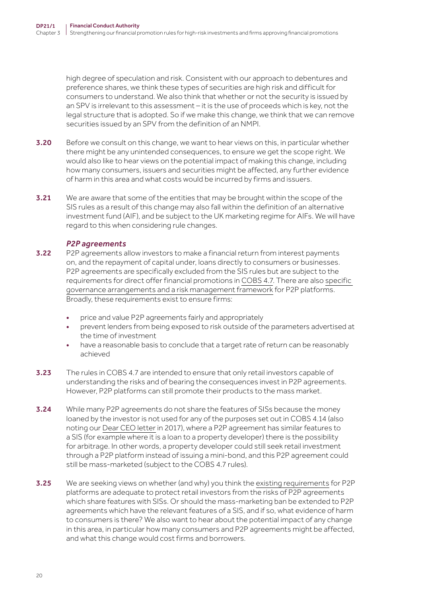high degree of speculation and risk. Consistent with our approach to debentures and preference shares, we think these types of securities are high risk and difficult for consumers to understand. We also think that whether or not the security is issued by an SPV is irrelevant to this assessment – it is the use of proceeds which is key, not the legal structure that is adopted. So if we make this change, we think that we can remove securities issued by an SPV from the definition of an NMPI.

- **3.20** Before we consult on this change, we want to hear views on this, in particular whether there might be any unintended consequences, to ensure we get the scope right. We would also like to hear views on the potential impact of making this change, including how many consumers, issuers and securities might be affected, any further evidence of harm in this area and what costs would be incurred by firms and issuers.
- **3.21** We are aware that some of the entities that may be brought within the scope of the SIS rules as a result of this change may also fall within the definition of an alternative investment fund (AIF), and be subject to the UK marketing regime for AIFs. We will have regard to this when considering rule changes.

#### *P2P agreements*

- 3.22 P2P agreements allow investors to make a financial return from interest payments on, and the repayment of capital under, loans directly to consumers or businesses. P2P agreements are specifically excluded from the SIS rules but are subject to the requirements for direct offer financial promotions in [COBS 4.7](https://www.handbook.fca.org.uk/handbook/COBS/4/7.html). There are also [specific](https://www.handbook.fca.org.uk/handbook/COBS/18/12.html)  [governance arrangements and a risk management framework](https://www.handbook.fca.org.uk/handbook/COBS/18/12.html) for P2P platforms. Broadly, these requirements exist to ensure firms:
	- price and value P2P agreements fairly and appropriately
	- prevent lenders from being exposed to risk outside of the parameters advertised at the time of investment
	- have a reasonable basis to conclude that a target rate of return can be reasonably achieved
- 3.23 The rules in COBS 4.7 are intended to ensure that only retail investors capable of understanding the risks and of bearing the consequences invest in P2P agreements. However, P2P platforms can still promote their products to the mass market.
- 3.24 While many P2P agreements do not share the features of SISs because the money loaned by the investor is not used for any of the purposes set out in COBS 4.14 (also noting our [Dear CEO letter](https://www.fca.org.uk/publication/correspondence/dear-ceo-letter-crowdfunding-lending-businesses.pdf) in 2017), where a P2P agreement has similar features to a SIS (for example where it is a loan to a property developer) there is the possibility for arbitrage. In other words, a property developer could still seek retail investment through a P2P platform instead of issuing a mini‑bond, and this P2P agreement could still be mass-marketed (subject to the COBS 4.7 rules).
- 3.25 We are seeking views on whether (and why) you think the [existing requirements](https://www.fca.org.uk/publications/policy-statements/ps19-14-loan-based-peer-to-peer-investment-based-crowdfunding-platforms-feedback-final-rules) for P2P platforms are adequate to protect retail investors from the risks of P2P agreements which share features with SISs. Or should the mass-marketing ban be extended to P2P agreements which have the relevant features of a SIS, and if so, what evidence of harm to consumers is there? We also want to hear about the potential impact of any change in this area, in particular how many consumers and P2P agreements might be affected, and what this change would cost firms and borrowers.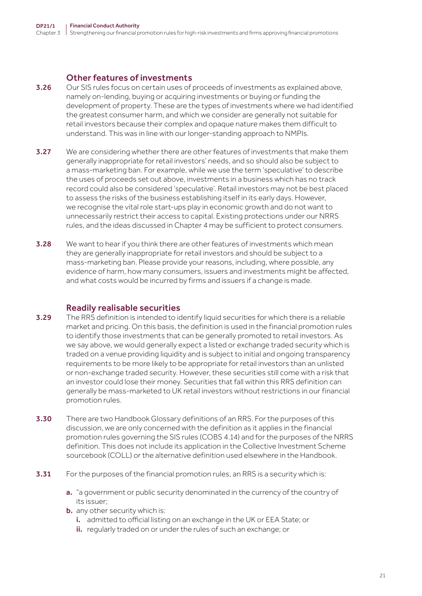#### Other features of investments

- 3.26 Our SIS rules focus on certain uses of proceeds of investments as explained above, namely on-lending, buying or acquiring investments or buying or funding the development of property. These are the types of investments where we had identified the greatest consumer harm, and which we consider are generally not suitable for retail investors because their complex and opaque nature makes them difficult to understand. This was in line with our longer‑standing approach to NMPIs.
- **3.27** We are considering whether there are other features of investments that make them generally inappropriate for retail investors' needs, and so should also be subject to a mass‑marketing ban. For example, while we use the term 'speculative' to describe the uses of proceeds set out above, investments in a business which has no track record could also be considered 'speculative'. Retail investors may not be best placed to assess the risks of the business establishing itself in its early days. However, we recognise the vital role start-ups play in economic growth and do not want to unnecessarily restrict their access to capital. Existing protections under our NRRS rules, and the ideas discussed in Chapter 4 may be sufficient to protect consumers.
- 3.28 We want to hear if you think there are other features of investments which mean they are generally inappropriate for retail investors and should be subject to a mass‑marketing ban. Please provide your reasons, including, where possible, any evidence of harm, how many consumers, issuers and investments might be affected, and what costs would be incurred by firms and issuers if a change is made.

#### Readily realisable securities

- **3.29** The RRS definition is intended to identify liquid securities for which there is a reliable market and pricing. On this basis, the definition is used in the financial promotion rules to identify those investments that can be generally promoted to retail investors. As we say above, we would generally expect a listed or exchange traded security which is traded on a venue providing liquidity and is subject to initial and ongoing transparency requirements to be more likely to be appropriate for retail investors than an unlisted or non‑exchange traded security. However, these securities still come with a risk that an investor could lose their money. Securities that fall within this RRS definition can generally be mass‑marketed to UK retail investors without restrictions in our financial promotion rules.
- **3.30** There are two Handbook Glossary definitions of an RRS. For the purposes of this discussion, we are only concerned with the definition as it applies in the financial promotion rules governing the SIS rules (COBS 4.14) and for the purposes of the NRRS definition. This does not include its application in the Collective Investment Scheme sourcebook (COLL) or the alternative definition used elsewhere in the Handbook.
- **3.31** For the purposes of the financial promotion rules, an RRS is a security which is:
	- a. "a government or public security denominated in the currency of the country of its issuer;
	- **b.** any other security which is:
		- i. admitted to official listing on an exchange in the UK or EEA State; or
		- ii. regularly traded on or under the rules of such an exchange; or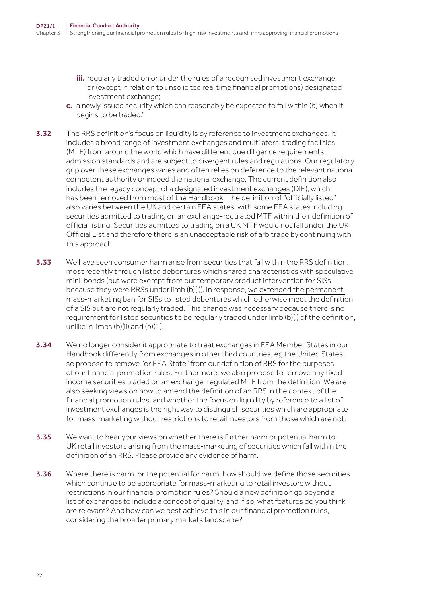- iii. regularly traded on or under the rules of a recognised investment exchange or (except in relation to unsolicited real time financial promotions) designated investment exchange;
- c. a newly issued security which can reasonably be expected to fall within (b) when it begins to be traded."
- **3.32** The RRS definition's focus on liquidity is by reference to investment exchanges. It includes a broad range of investment exchanges and multilateral trading facilities (MTF) from around the world which have different due diligence requirements, admission standards and are subject to divergent rules and regulations. Our regulatory grip over these exchanges varies and often relies on deference to the relevant national competent authority or indeed the national exchange. The current definition also includes the legacy concept of a [designated investment exchanges](https://www.handbook.fca.org.uk/handbook/glossary/G284.html) (DIE), which has been [removed from most of the Handbook](https://www.fca.org.uk/publication/consultation/cp13-09.pdf). The definition of "officially listed" also varies between the UK and certain EEA states, with some EEA states including securities admitted to trading on an exchange-regulated MTF within their definition of official listing. Securities admitted to trading on a UK MTF would not fall under the UK Official List and therefore there is an unacceptable risk of arbitrage by continuing with this approach.
- 3.33 We have seen consumer harm arise from securities that fall within the RRS definition, most recently through listed debentures which shared characteristics with speculative mini-bonds (but were exempt from our temporary product intervention for SISs because they were RRSs under limb (b)(i)). In response, [we extended the permanent](https://www.fca.org.uk/publications/policy-statements/ps20-15-high-risk-investments-marketing-speculative-illiquid-securities-speculative-mini-bonds-retail-investors)  [mass‑marketing ban](https://www.fca.org.uk/publications/policy-statements/ps20-15-high-risk-investments-marketing-speculative-illiquid-securities-speculative-mini-bonds-retail-investors) for SISs to listed debentures which otherwise meet the definition of a SIS but are not regularly traded. This change was necessary because there is no requirement for listed securities to be regularly traded under limb (b)(i) of the definition, unlike in limbs (b)(ii) and (b)(iii).
- **3.34** We no longer consider it appropriate to treat exchanges in EEA Member States in our Handbook differently from exchanges in other third countries, eg the United States, so propose to remove "or EEA State" from our definition of RRS for the purposes of our financial promotion rules. Furthermore, we also propose to remove any fixed income securities traded on an exchange‑regulated MTF from the definition. We are also seeking views on how to amend the definition of an RRS in the context of the financial promotion rules, and whether the focus on liquidity by reference to a list of investment exchanges is the right way to distinguish securities which are appropriate for mass-marketing without restrictions to retail investors from those which are not.
- 3.35 We want to hear your views on whether there is further harm or potential harm to UK retail investors arising from the mass‑marketing of securities which fall within the definition of an RRS. Please provide any evidence of harm.
- **3.36** Where there is harm, or the potential for harm, how should we define those securities which continue to be appropriate for mass-marketing to retail investors without restrictions in our financial promotion rules? Should a new definition go beyond a list of exchanges to include a concept of quality, and if so, what features do you think are relevant? And how can we best achieve this in our financial promotion rules, considering the broader primary markets landscape?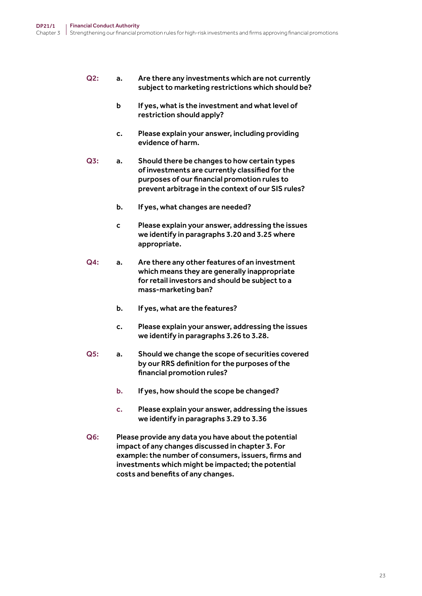#### Q2: a. Are there any investments which are not currently subject to marketing restrictions which should be?

- b If yes, what is the investment and what level of restriction should apply?
- c. Please explain your answer, including providing evidence of harm.
- Q3: a. Should there be changes to how certain types of investments are currently classified for the purposes of our financial promotion rules to prevent arbitrage in the context of our SIS rules?
	- b. If yes, what changes are needed?
	- c Please explain your answer, addressing the issues we identify in paragraphs 3.20 and 3.25 where appropriate.
- Q4: a. Are there any other features of an investment which means they are generally inappropriate for retail investors and should be subject to a mass-marketing ban?
	- b. If yes, what are the features?
	- c. Please explain your answer, addressing the issues we identify in paragraphs 3.26 to 3.28.
- Q5: a. Should we change the scope of securities covered by our RRS definition for the purposes of the financial promotion rules?
	- b. If yes, how should the scope be changed?
	- c. Please explain your answer, addressing the issues we identify in paragraphs 3.29 to 3.36
- Q6: Please provide any data you have about the potential impact of any changes discussed in chapter 3. For example: the number of consumers, issuers, firms and investments which might be impacted; the potential costs and benefits of any changes.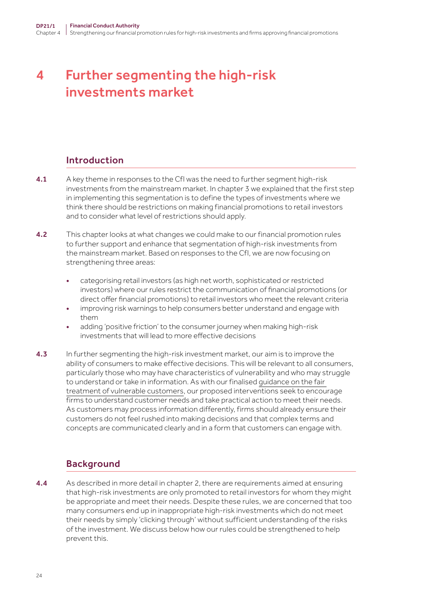# <span id="page-23-0"></span>4 Further segmenting the high-risk investments market

# Introduction

- 4.1 A key theme in responses to the CfI was the need to further segment high-risk investments from the mainstream market. In chapter 3 we explained that the first step in implementing this segmentation is to define the types of investments where we think there should be restrictions on making financial promotions to retail investors and to consider what level of restrictions should apply.
- **4.2** This chapter looks at what changes we could make to our financial promotion rules to further support and enhance that segmentation of high-risk investments from the mainstream market. Based on responses to the CfI, we are now focusing on strengthening three areas:
	- categorising retail investors (as high net worth, sophisticated or restricted investors) where our rules restrict the communication of financial promotions (or direct offer financial promotions) to retail investors who meet the relevant criteria
	- improving risk warnings to help consumers better understand and engage with them
	- adding 'positive friction' to the consumer journey when making high-risk investments that will lead to more effective decisions
- 4.3 In further segmenting the high-risk investment market, our aim is to improve the ability of consumers to make effective decisions. This will be relevant to all consumers, particularly those who may have characteristics of vulnerability and who may struggle to understand or take in information. As with our finalised [guidance on the fair](https://www.fca.org.uk/publications/finalised-guidance/guidance-firms-fair-treatment-vulnerable-customers)  [treatment of vulnerable customers](https://www.fca.org.uk/publications/finalised-guidance/guidance-firms-fair-treatment-vulnerable-customers), our proposed interventions seek to encourage firms to understand customer needs and take practical action to meet their needs. As customers may process information differently, firms should already ensure their customers do not feel rushed into making decisions and that complex terms and concepts are communicated clearly and in a form that customers can engage with.

# **Background**

4.4 As described in more detail in chapter 2, there are requirements aimed at ensuring that high-risk investments are only promoted to retail investors for whom they might be appropriate and meet their needs. Despite these rules, we are concerned that too many consumers end up in inappropriate high-risk investments which do not meet their needs by simply 'clicking through' without sufficient understanding of the risks of the investment. We discuss below how our rules could be strengthened to help prevent this.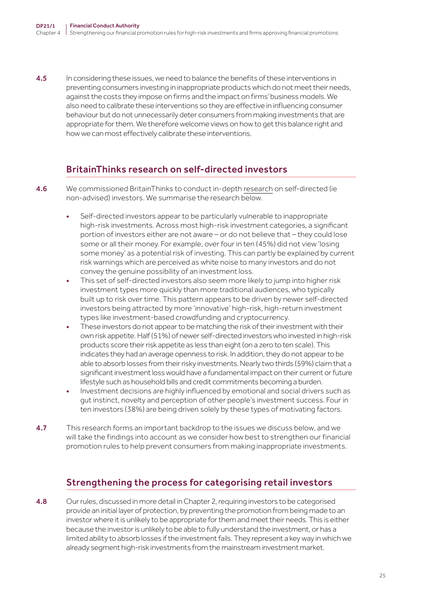**4.5** In considering these issues, we need to balance the benefits of these interventions in preventing consumers investing in inappropriate products which do not meet their needs, against the costs they impose on firms and the impact on firms' business models. We also need to calibrate these interventions so they are effective in influencing consumer behaviour but do not unnecessarily deter consumers from making investments that are appropriate for them. We therefore welcome views on how to get this balance right and how we can most effectively calibrate these interventions.

# BritainThinks research on self-directed investors

- 4.6 We commissioned BritainThinks to conduct in-depth [research](https://www.fca.org.uk/publication/research/understanding-self-directed-investors.pdf) on self-directed (ie non‑advised) investors. We summarise the research below.
	- Self-directed investors appear to be particularly vulnerable to inappropriate high-risk investments. Across most high-risk investment categories, a significant portion of investors either are not aware – or do not believe that – they could lose some or all their money. For example, over four in ten (45%) did not view 'losing some money' as a potential risk of investing. This can partly be explained by current risk warnings which are perceived as white noise to many investors and do not convey the genuine possibility of an investment loss.
	- This set of self-directed investors also seem more likely to jump into higher risk investment types more quickly than more traditional audiences, who typically built up to risk over time. This pattern appears to be driven by newer self-directed investors being attracted by more 'innovative' high-risk, high-return investment types like investment‑based crowdfunding and cryptocurrency.
	- These investors do not appear to be matching the risk of their investment with their own risk appetite. Half (51%) of newer self-directed investors who invested in high-risk products score their risk appetite as less than eight (on a zero to ten scale). This indicates they had an average openness to risk. In addition, they do not appear to be able to absorb losses from their risky investments. Nearly two thirds (59%) claim that a significant investment loss would have a fundamental impact on their current or future lifestyle such as household bills and credit commitments becoming a burden.
	- Investment decisions are highly influenced by emotional and social drivers such as gut instinct, novelty and perception of other people's investment success. Four in ten investors (38%) are being driven solely by these types of motivating factors.
- 4.7 This research forms an important backdrop to the issues we discuss below, and we will take the findings into account as we consider how best to strengthen our financial promotion rules to help prevent consumers from making inappropriate investments.

# Strengthening the process for categorising retail investors

4.8 Our rules, discussed in more detail in Chapter 2, requiring investors to be categorised provide an initial layer of protection, by preventing the promotion from being made to an investor where it is unlikely to be appropriate for them and meet their needs. This is either because the investor is unlikely to be able to fully understand the investment, or has a limited ability to absorb losses if the investment fails. They represent a key way in which we already segment high-risk investments from the mainstream investment market.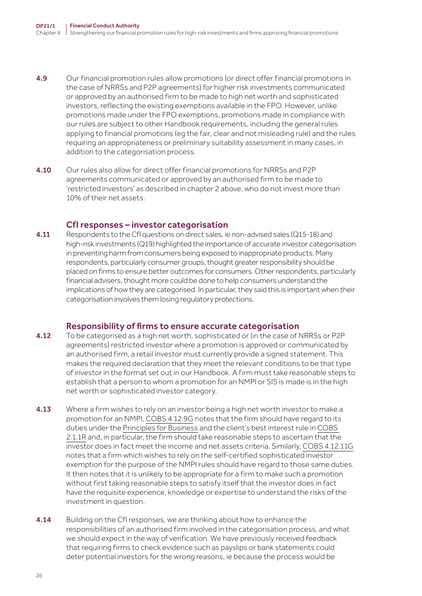- 4.9 Our financial promotion rules allow promotions (or direct offer financial promotions in the case of NRRSs and P2P agreements) for higher risk investments communicated or approved by an authorised firm to be made to high net worth and sophisticated investors, reflecting the existing exemptions available in the FPO. However, unlike promotions made under the FPO exemptions, promotions made in compliance with our rules are subject to other Handbook requirements, including the general rules applying to financial promotions (eg the fair, clear and not misleading rule) and the rules requiring an appropriateness or preliminary suitability assessment in many cases, in addition to the categorisation process.
- 4.10 Our rules also allow for direct offer financial promotions for NRRSs and P2P agreements communicated or approved by an authorised firm to be made to 'restricted investors' as described in chapter 2 above, who do not invest more than 10% of their net assets.

#### CfI responses – investor categorisation

**4.11** Respondents to the CfI questions on direct sales, ie non-advised sales ( $Q15-18$ ) and high-risk investments (Q19) highlighted the importance of accurate investor categorisation in preventing harm from consumers being exposed to inappropriate products. Many respondents, particularly consumer groups, thought greater responsibility should be placed on firms to ensure better outcomes for consumers. Other respondents, particularly financial advisers, thought more could be done to help consumers understand the implications of how they are categorised. In particular, they said this is important when their categorisation involves them losing regulatory protections.

#### Responsibility of firms to ensure accurate categorisation

- **4.12** To be categorised as a high net worth, sophisticated or (in the case of NRRSs or P2P) agreements) restricted investor where a promotion is approved or communicated by an authorised firm, a retail investor must currently provide a signed statement. This makes the required declaration that they meet the relevant conditions to be that type of investor in the format set out in our Handbook. A firm must take reasonable steps to establish that a person to whom a promotion for an NMPI or SIS is made is in the high net worth or sophisticated investor category.
- **4.13** Where a firm wishes to rely on an investor being a high net worth investor to make a promotion for an NMPI, [COBS 4.12.9G](https://www.handbook.fca.org.uk/handbook/COBS/4/12.html) notes that the firm should have regard to its duties under the [Principles for Business](https://www.handbook.fca.org.uk/handbook/PRIN/2/1.html?date=2021-02-24#D3) and the client's best interest rule in [COBS](https://www.handbook.fca.org.uk/handbook/COBS/2/1.html)  [2.1.1R](https://www.handbook.fca.org.uk/handbook/COBS/2/1.html) and, in particular, the firm should take reasonable steps to ascertain that the investor does in fact meet the income and net assets criteria. Similarly, [COBS 4.12.11G](https://www.handbook.fca.org.uk/handbook/COBS/4/12.html) notes that a firm which wishes to rely on the self‑certified sophisticated investor exemption for the purpose of the NMPI rules should have regard to those same duties. It then notes that it is unlikely to be appropriate for a firm to make such a promotion without first taking reasonable steps to satisfy itself that the investor does in fact have the requisite experience, knowledge or expertise to understand the risks of the investment in question.
- **4.14** Building on the CfI responses, we are thinking about how to enhance the responsibilities of an authorised firm involved in the categorisation process, and what we should expect in the way of verification. We have previously received feedback that requiring firms to check evidence such as payslips or bank statements could deter potential investors for the wrong reasons, ie because the process would be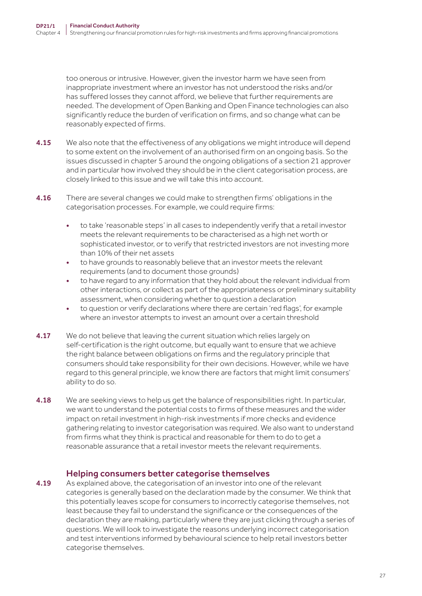too onerous or intrusive. However, given the investor harm we have seen from inappropriate investment where an investor has not understood the risks and/or has suffered losses they cannot afford, we believe that further requirements are needed. The development of Open Banking and Open Finance technologies can also significantly reduce the burden of verification on firms, and so change what can be reasonably expected of firms.

- **4.15** We also note that the effectiveness of any obligations we might introduce will depend to some extent on the involvement of an authorised firm on an ongoing basis. So the issues discussed in chapter 5 around the ongoing obligations of a section 21 approver and in particular how involved they should be in the client categorisation process, are closely linked to this issue and we will take this into account.
- 4.16 There are several changes we could make to strengthen firms' obligations in the categorisation processes. For example, we could require firms:
	- to take 'reasonable steps' in all cases to independently verify that a retail investor meets the relevant requirements to be characterised as a high net worth or sophisticated investor, or to verify that restricted investors are not investing more than 10% of their net assets
	- to have grounds to reasonably believe that an investor meets the relevant requirements (and to document those grounds)
	- to have regard to any information that they hold about the relevant individual from other interactions, or collect as part of the appropriateness or preliminary suitability assessment, when considering whether to question a declaration
	- to question or verify declarations where there are certain 'red flags', for example where an investor attempts to invest an amount over a certain threshold
- 4.17 We do not believe that leaving the current situation which relies largely on self-certification is the right outcome, but equally want to ensure that we achieve the right balance between obligations on firms and the regulatory principle that consumers should take responsibility for their own decisions. However, while we have regard to this general principle, we know there are factors that might limit consumers' ability to do so.
- 4.18 We are seeking views to help us get the balance of responsibilities right. In particular, we want to understand the potential costs to firms of these measures and the wider impact on retail investment in high-risk investments if more checks and evidence gathering relating to investor categorisation was required. We also want to understand from firms what they think is practical and reasonable for them to do to get a reasonable assurance that a retail investor meets the relevant requirements.

#### Helping consumers better categorise themselves

**4.19** As explained above, the categorisation of an investor into one of the relevant categories is generally based on the declaration made by the consumer. We think that this potentially leaves scope for consumers to incorrectly categorise themselves, not least because they fail to understand the significance or the consequences of the declaration they are making, particularly where they are just clicking through a series of questions. We will look to investigate the reasons underlying incorrect categorisation and test interventions informed by behavioural science to help retail investors better categorise themselves.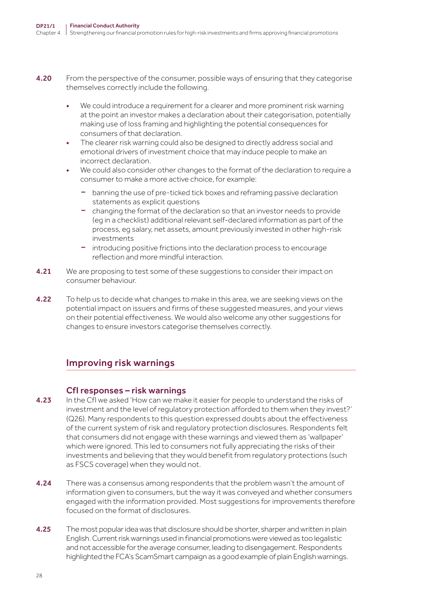- 4.20 From the perspective of the consumer, possible ways of ensuring that they categorise themselves correctly include the following.
	- We could introduce a requirement for a clearer and more prominent risk warning at the point an investor makes a declaration about their categorisation, potentially making use of loss framing and highlighting the potential consequences for consumers of that declaration.
	- The clearer risk warning could also be designed to directly address social and emotional drivers of investment choice that may induce people to make an incorrect declaration.
	- We could also consider other changes to the format of the declaration to require a consumer to make a more active choice, for example:
		- banning the use of pre-ticked tick boxes and reframing passive declaration statements as explicit questions
		- changing the format of the declaration so that an investor needs to provide (eg in a checklist) additional relevant self‑declared information as part of the process, eg salary, net assets, amount previously invested in other high-risk investments
		- introducing positive frictions into the declaration process to encourage reflection and more mindful interaction.
- 4.21 We are proposing to test some of these suggestions to consider their impact on consumer behaviour.
- 4.22 To help us to decide what changes to make in this area, we are seeking views on the potential impact on issuers and firms of these suggested measures, and your views on their potential effectiveness. We would also welcome any other suggestions for changes to ensure investors categorise themselves correctly.

# Improving risk warnings

#### CfI responses – risk warnings

- 4.23 In the CfI we asked 'How can we make it easier for people to understand the risks of investment and the level of regulatory protection afforded to them when they invest?' (Q26). Many respondents to this question expressed doubts about the effectiveness of the current system of risk and regulatory protection disclosures. Respondents felt that consumers did not engage with these warnings and viewed them as 'wallpaper' which were ignored. This led to consumers not fully appreciating the risks of their investments and believing that they would benefit from regulatory protections (such as FSCS coverage) when they would not.
- 4.24 There was a consensus among respondents that the problem wasn't the amount of information given to consumers, but the way it was conveyed and whether consumers engaged with the information provided. Most suggestions for improvements therefore focused on the format of disclosures.
- 4.25 The most popular idea was that disclosure should be shorter, sharper and written in plain English. Current risk warnings used in financial promotions were viewed as too legalistic and not accessible for the average consumer, leading to disengagement. Respondents highlighted the FCA's ScamSmart campaign as a good example of plain English warnings.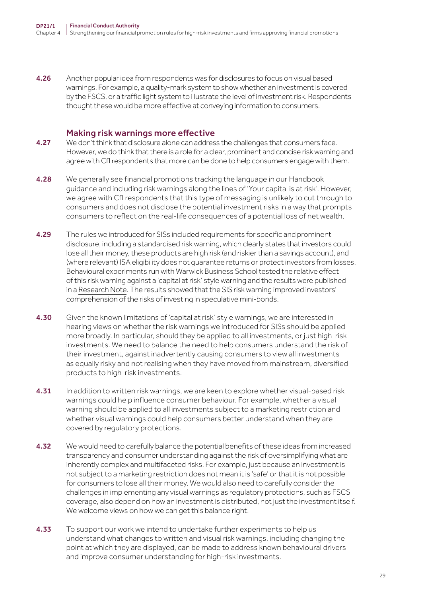4.26 Another popular idea from respondents was for disclosures to focus on visual based warnings. For example, a quality-mark system to show whether an investment is covered by the FSCS, or a traffic light system to illustrate the level of investment risk. Respondents thought these would be more effective at conveying information to consumers.

#### Making risk warnings more effective

- 4.27 We don't think that disclosure alone can address the challenges that consumers face. However, we do think that there is a role for a clear, prominent and concise risk warning and agree with CfI respondents that more can be done to help consumers engage with them.
- **4.28** We generally see financial promotions tracking the language in our Handbook guidance and including risk warnings along the lines of 'Your capital is at risk'. However, we agree with CfI respondents that this type of messaging is unlikely to cut through to consumers and does not disclose the potential investment risks in a way that prompts consumers to reflect on the real‑life consequences of a potential loss of net wealth.
- 4.29 The rules we introduced for SISs included requirements for specific and prominent disclosure, including a standardised risk warning, which clearly states that investors could lose all their money, these products are high risk (and riskier than a savings account), and (where relevant) ISA eligibility does not guarantee returns or protect investors from losses. Behavioural experiments run with Warwick Business School tested the relative effect of this risk warning against a 'capital at risk' style warning and the results were published in a [Research Note.](https://www.fca.org.uk/publication/research/research-note-choosing-wisely-preferences-comprehension-effect-risk-warnings-financial-promotion-investment-products.pdf) The results showed that the SIS risk warning improved investors' comprehension of the risks of investing in speculative mini-bonds.
- **4.30** Given the known limitations of 'capital at risk' style warnings, we are interested in hearing views on whether the risk warnings we introduced for SISs should be applied more broadly. In particular, should they be applied to all investments, or just high-risk investments. We need to balance the need to help consumers understand the risk of their investment, against inadvertently causing consumers to view all investments as equally risky and not realising when they have moved from mainstream, diversified products to high-risk investments.
- **4.31** In addition to written risk warnings, we are keen to explore whether visual-based risk warnings could help influence consumer behaviour. For example, whether a visual warning should be applied to all investments subject to a marketing restriction and whether visual warnings could help consumers better understand when they are covered by regulatory protections.
- 4.32 We would need to carefully balance the potential benefits of these ideas from increased transparency and consumer understanding against the risk of oversimplifying what are inherently complex and multifaceted risks. For example, just because an investment is not subject to a marketing restriction does not mean it is 'safe' or that it is not possible for consumers to lose all their money. We would also need to carefully consider the challenges in implementing any visual warnings as regulatory protections, such as FSCS coverage, also depend on how an investment is distributed, not just the investment itself. We welcome views on how we can get this balance right.
- 4.33 To support our work we intend to undertake further experiments to help us understand what changes to written and visual risk warnings, including changing the point at which they are displayed, can be made to address known behavioural drivers and improve consumer understanding for high-risk investments.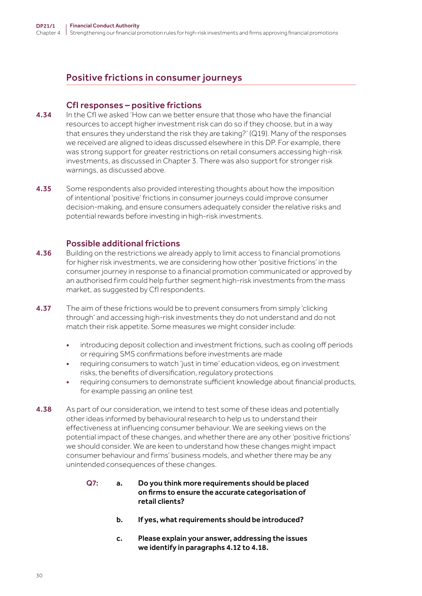# Positive frictions in consumer journeys

#### CfI responses – positive frictions

- 4.34 In the Cfl we asked 'How can we better ensure that those who have the financial resources to accept higher investment risk can do so if they choose, but in a way that ensures they understand the risk they are taking?' (Q19). Many of the responses we received are aligned to ideas discussed elsewhere in this DP. For example, there was strong support for greater restrictions on retail consumers accessing high-risk investments, as discussed in Chapter 3. There was also support for stronger risk warnings, as discussed above.
- **4.35** Some respondents also provided interesting thoughts about how the imposition of intentional 'positive' frictions in consumer journeys could improve consumer decision-making, and ensure consumers adequately consider the relative risks and potential rewards before investing in high-risk investments.

#### Possible additional frictions

- 4.36 Building on the restrictions we already apply to limit access to financial promotions for higher risk investments, we are considering how other 'positive frictions' in the consumer journey in response to a financial promotion communicated or approved by an authorised firm could help further segment high-risk investments from the mass market, as suggested by CfI respondents.
- **4.37** The aim of these frictions would be to prevent consumers from simply 'clicking through' and accessing high-risk investments they do not understand and do not match their risk appetite. Some measures we might consider include:
	- introducing deposit collection and investment frictions, such as cooling off periods or requiring SMS confirmations before investments are made
	- requiring consumers to watch 'just in time' education videos, eg on investment risks, the benefits of diversification, regulatory protections
	- requiring consumers to demonstrate sufficient knowledge about financial products, for example passing an online test
- 4.38 As part of our consideration, we intend to test some of these ideas and potentially other ideas informed by behavioural research to help us to understand their effectiveness at influencing consumer behaviour. We are seeking views on the potential impact of these changes, and whether there are any other 'positive frictions' we should consider. We are keen to understand how these changes might impact consumer behaviour and firms' business models, and whether there may be any unintended consequences of these changes.
	- Q7: a. Do you think more requirements should be placed on firms to ensure the accurate categorisation of retail clients?
		- b. If yes, what requirements should be introduced?
		- c. Please explain your answer, addressing the issues we identify in paragraphs 4.12 to 4.18.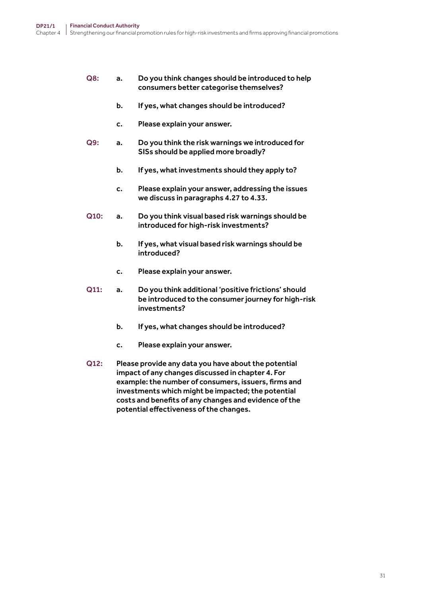#### Q8: a. Do you think changes should be introduced to help consumers better categorise themselves?

- b. If yes, what changes should be introduced?
- c. Please explain your answer.
- Q9: a. Do you think the risk warnings we introduced for SISs should be applied more broadly?
	- b. If yes, what investments should they apply to?
	- c. Please explain your answer, addressing the issues we discuss in paragraphs 4.27 to 4.33.
- Q10: a. Do you think visual based risk warnings should be introduced for high-risk investments?
	- b. If yes, what visual based risk warnings should be introduced?
	- c. Please explain your answer.
- Q11: a. Do you think additional 'positive frictions' should be introduced to the consumer journey for high-risk investments?
	- b. If yes, what changes should be introduced?
	- c. Please explain your answer.
- Q12: Please provide any data you have about the potential impact of any changes discussed in chapter 4. For example: the number of consumers, issuers, firms and investments which might be impacted; the potential costs and benefits of any changes and evidence of the potential effectiveness of the changes.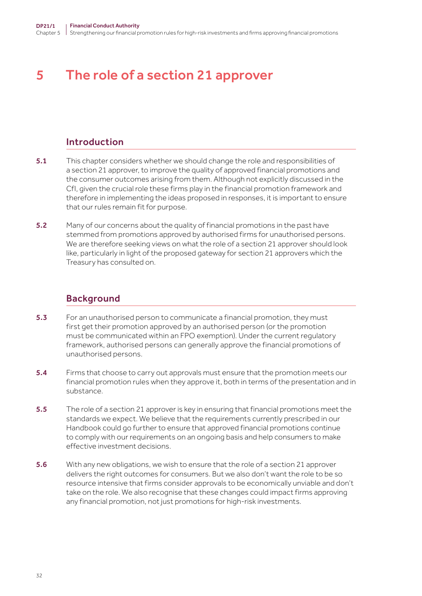# <span id="page-31-0"></span>5 The role of a section 21 approver

### Introduction

- 5.1 This chapter considers whether we should change the role and responsibilities of a section 21 approver, to improve the quality of approved financial promotions and the consumer outcomes arising from them. Although not explicitly discussed in the CfI, given the crucial role these firms play in the financial promotion framework and therefore in implementing the ideas proposed in responses, it is important to ensure that our rules remain fit for purpose.
- 5.2 Many of our concerns about the quality of financial promotions in the past have stemmed from promotions approved by authorised firms for unauthorised persons. We are therefore seeking views on what the role of a section 21 approver should look like, particularly in light of the proposed gateway for section 21 approvers which the Treasury has consulted on.

#### Background

- 5.3 For an unauthorised person to communicate a financial promotion, they must first get their promotion approved by an authorised person (or the promotion must be communicated within an FPO exemption). Under the current regulatory framework, authorised persons can generally approve the financial promotions of unauthorised persons.
- 5.4 Firms that choose to carry out approvals must ensure that the promotion meets our financial promotion rules when they approve it, both in terms of the presentation and in substance.
- 5.5 The role of a section 21 approver is key in ensuring that financial promotions meet the standards we expect. We believe that the requirements currently prescribed in our Handbook could go further to ensure that approved financial promotions continue to comply with our requirements on an ongoing basis and help consumers to make effective investment decisions.
- 5.6 With any new obligations, we wish to ensure that the role of a section 21 approver delivers the right outcomes for consumers. But we also don't want the role to be so resource intensive that firms consider approvals to be economically unviable and don't take on the role. We also recognise that these changes could impact firms approving any financial promotion, not just promotions for high-risk investments.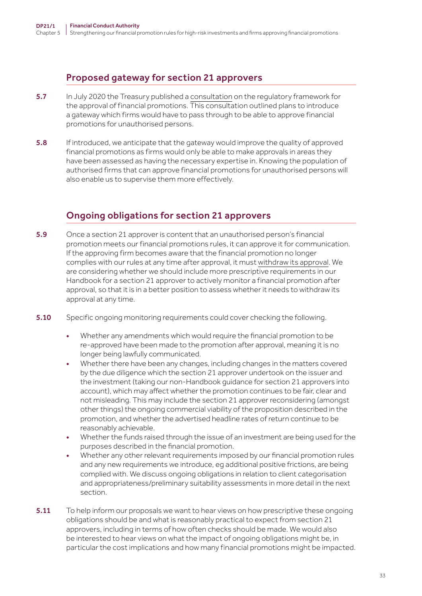# Proposed gateway for section 21 approvers

- 5.7 In July 2020 the Treasury published a [consultation](https://assets.publishing.service.gov.uk/government/uploads/system/uploads/attachment_data/file/902101/Financial_Promotions_Unauthorised_Firms_Consultation.pdf) on the regulatory framework for the approval of financial promotions. This consultation outlined plans to introduce a gateway which firms would have to pass through to be able to approve financial promotions for unauthorised persons.
- **5.8** If introduced, we anticipate that the gateway would improve the quality of approved financial promotions as firms would only be able to make approvals in areas they have been assessed as having the necessary expertise in. Knowing the population of authorised firms that can approve financial promotions for unauthorised persons will also enable us to supervise them more effectively.

# Ongoing obligations for section 21 approvers

- 5.9 Once a section 21 approver is content that an unauthorised person's financial promotion meets our financial promotions rules, it can approve it for communication. If the approving firm becomes aware that the financial promotion no longer complies with our rules at any time after approval, it must [withdraw its approval](https://www.handbook.fca.org.uk/handbook/COBS/4/10.html). We are considering whether we should include more prescriptive requirements in our Handbook for a section 21 approver to actively monitor a financial promotion after approval, so that it is in a better position to assess whether it needs to withdraw its approval at any time.
- 5.10 Specific ongoing monitoring requirements could cover checking the following.
	- Whether any amendments which would require the financial promotion to be re-approved have been made to the promotion after approval, meaning it is no longer being lawfully communicated.
	- Whether there have been any changes, including changes in the matters covered by the due diligence which the section 21 approver undertook on the issuer and the investment (taking our non-Handbook guidance for section 21 approvers into account), which may affect whether the promotion continues to be fair, clear and not misleading. This may include the section 21 approver reconsidering (amongst other things) the ongoing commercial viability of the proposition described in the promotion, and whether the advertised headline rates of return continue to be reasonably achievable.
	- Whether the funds raised through the issue of an investment are being used for the purposes described in the financial promotion.
	- Whether any other relevant requirements imposed by our financial promotion rules and any new requirements we introduce, eg additional positive frictions, are being complied with. We discuss ongoing obligations in relation to client categorisation and appropriateness/preliminary suitability assessments in more detail in the next section.
- **5.11** To help inform our proposals we want to hear views on how prescriptive these ongoing obligations should be and what is reasonably practical to expect from section 21 approvers, including in terms of how often checks should be made. We would also be interested to hear views on what the impact of ongoing obligations might be, in particular the cost implications and how many financial promotions might be impacted.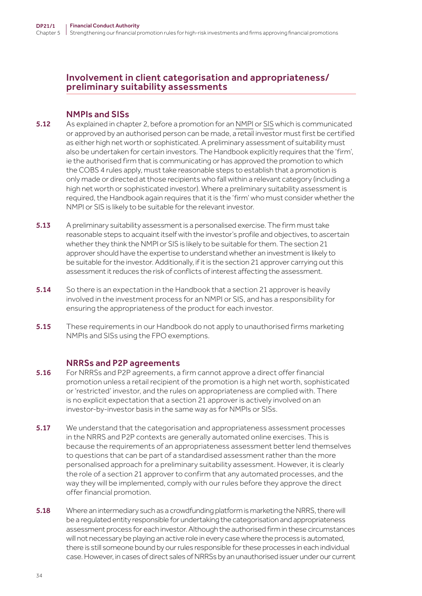### Involvement in client categorisation and appropriateness/ preliminary suitability assessments

#### NMPIs and SISs

- 5.12 As explained in chapter 2, before a promotion for an [NMPI](https://www.handbook.fca.org.uk/handbook/COBS/4/12.html) or [SIS](https://www.handbook.fca.org.uk/handbook/COBS/4/14.html) which is communicated or approved by an authorised person can be made, a retail investor must first be certified as either high net worth or sophisticated. A preliminary assessment of suitability must also be undertaken for certain investors. The Handbook explicitly requires that the 'firm', ie the authorised firm that is communicating or has approved the promotion to which the COBS 4 rules apply, must take reasonable steps to establish that a promotion is only made or directed at those recipients who fall within a relevant category (including a high net worth or sophisticated investor). Where a preliminary suitability assessment is required, the Handbook again requires that it is the 'firm' who must consider whether the NMPI or SIS is likely to be suitable for the relevant investor.
- **5.13** A preliminary suitability assessment is a personalised exercise. The firm must take reasonable steps to acquaint itself with the investor's profile and objectives, to ascertain whether they think the NMPI or SIS is likely to be suitable for them. The section 21 approver should have the expertise to understand whether an investment is likely to be suitable for the investor. Additionally, if it is the section 21 approver carrying out this assessment it reduces the risk of conflicts of interest affecting the assessment.
- 5.14 So there is an expectation in the Handbook that a section 21 approver is heavily involved in the investment process for an NMPI or SIS, and has a responsibility for ensuring the appropriateness of the product for each investor.
- 5.15 These requirements in our Handbook do not apply to unauthorised firms marketing NMPIs and SISs using the FPO exemptions.

#### NRRSs and P2P agreements

- 5.16 For NRRSs and P2P agreements, a firm cannot approve a direct offer financial promotion unless a retail recipient of the promotion is a high net worth, sophisticated or 'restricted' investor, and the rules on appropriateness are complied with. There is no explicit expectation that a section 21 approver is actively involved on an investor-by-investor basis in the same way as for NMPIs or SISs.
- **5.17** We understand that the categorisation and appropriateness assessment processes in the NRRS and P2P contexts are generally automated online exercises. This is because the requirements of an appropriateness assessment better lend themselves to questions that can be part of a standardised assessment rather than the more personalised approach for a preliminary suitability assessment. However, it is clearly the role of a section 21 approver to confirm that any automated processes, and the way they will be implemented, comply with our rules before they approve the direct offer financial promotion.
- 5.18 Where an intermediary such as a crowdfunding platform is marketing the NRRS, there will be a regulated entity responsible for undertaking the categorisation and appropriateness assessment process for each investor. Although the authorised firm in these circumstances will not necessary be playing an active role in every case where the process is automated, there is still someone bound by our rules responsible for these processes in each individual case. However, in cases of direct sales of NRRSs by an unauthorised issuer under our current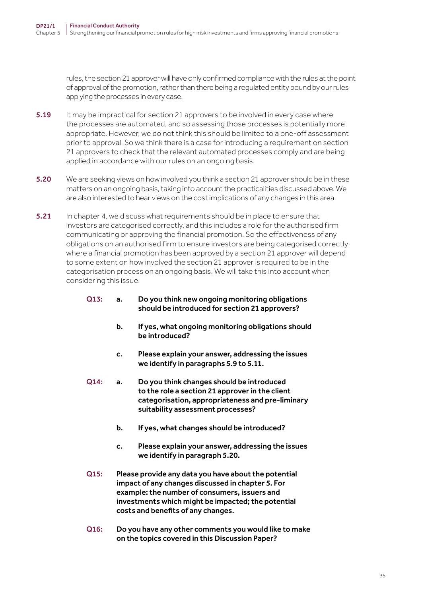rules, the section 21 approver will have only confirmed compliance with the rules at the point of approval of the promotion, rather than there being a regulated entity bound by our rules applying the processes in every case.

- 5.19 It may be impractical for section 21 approvers to be involved in every case where the processes are automated, and so assessing those processes is potentially more appropriate. However, we do not think this should be limited to a one-off assessment prior to approval. So we think there is a case for introducing a requirement on section 21 approvers to check that the relevant automated processes comply and are being applied in accordance with our rules on an ongoing basis.
- 5.20 We are seeking views on how involved you think a section 21 approver should be in these matters on an ongoing basis, taking into account the practicalities discussed above. We are also interested to hear views on the cost implications of any changes in this area.
- **5.21** In chapter 4, we discuss what requirements should be in place to ensure that investors are categorised correctly, and this includes a role for the authorised firm communicating or approving the financial promotion. So the effectiveness of any obligations on an authorised firm to ensure investors are being categorised correctly where a financial promotion has been approved by a section 21 approver will depend to some extent on how involved the section 21 approver is required to be in the categorisation process on an ongoing basis. We will take this into account when considering this issue.

#### Q13: a. Do you think new ongoing monitoring obligations should be introduced for section 21 approvers?

- b. If yes, what ongoing monitoring obligations should be introduced?
- c. Please explain your answer, addressing the issues we identify in paragraphs 5.9 to 5.11.
- Q14: a. Do you think changes should be introduced to the role a section 21 approver in the client categorisation, appropriateness and pre-liminary suitability assessment processes?
	- b. If yes, what changes should be introduced?
	- c. Please explain your answer, addressing the issues we identify in paragraph 5.20.
- Q15: Please provide any data you have about the potential impact of any changes discussed in chapter 5. For example: the number of consumers, issuers and investments which might be impacted; the potential costs and benefits of any changes.
- Q16: Do you have any other comments you would like to make on the topics covered in this Discussion Paper?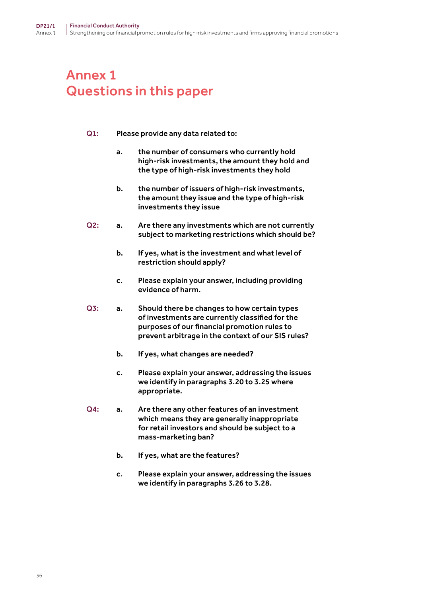# <span id="page-35-0"></span>Annex 1 Questions in this paper

#### Q1: Please provide any data related to:

- a. the number of consumers who currently hold high-risk investments, the amount they hold and the type of high-risk investments they hold
- b. the number of issuers of high-risk investments, the amount they issue and the type of high-risk investments they issue
- Q2: a. Are there any investments which are not currently subject to marketing restrictions which should be?
	- b. If yes, what is the investment and what level of restriction should apply?
	- c. Please explain your answer, including providing evidence of harm.
- Q3: a. Should there be changes to how certain types of investments are currently classified for the purposes of our financial promotion rules to prevent arbitrage in the context of our SIS rules?
	- b. If yes, what changes are needed?
	- c. Please explain your answer, addressing the issues we identify in paragraphs 3.20 to 3.25 where appropriate.
- Q4: a. Are there any other features of an investment which means they are generally inappropriate for retail investors and should be subject to a mass-marketing ban?
	- b. If yes, what are the features?
	- c. Please explain your answer, addressing the issues we identify in paragraphs 3.26 to 3.28.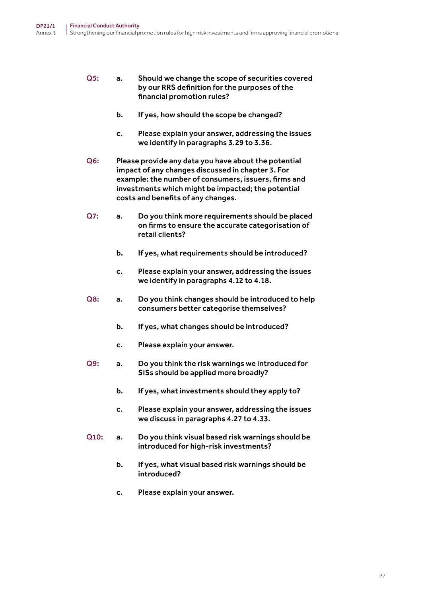- Q5: a. Should we change the scope of securities covered by our RRS definition for the purposes of the financial promotion rules?
	- b. If yes, how should the scope be changed?
	- c. Please explain your answer, addressing the issues we identify in paragraphs 3.29 to 3.36.
- Q6: Please provide any data you have about the potential impact of any changes discussed in chapter 3. For example: the number of consumers, issuers, firms and investments which might be impacted; the potential costs and benefits of any changes.
- Q7: a. Do you think more requirements should be placed on firms to ensure the accurate categorisation of retail clients?
	- b. If yes, what requirements should be introduced?
	- c. Please explain your answer, addressing the issues we identify in paragraphs 4.12 to 4.18.
- Q8: a. Do you think changes should be introduced to help consumers better categorise themselves?
	- b. If yes, what changes should be introduced?
	- c. Please explain your answer.
- Q9: a. Do you think the risk warnings we introduced for SISs should be applied more broadly?
	- b. If yes, what investments should they apply to?
	- c. Please explain your answer, addressing the issues we discuss in paragraphs 4.27 to 4.33.
- Q10: a. Do you think visual based risk warnings should be introduced for high-risk investments?
	- b. If yes, what visual based risk warnings should be introduced?
	- c. Please explain your answer.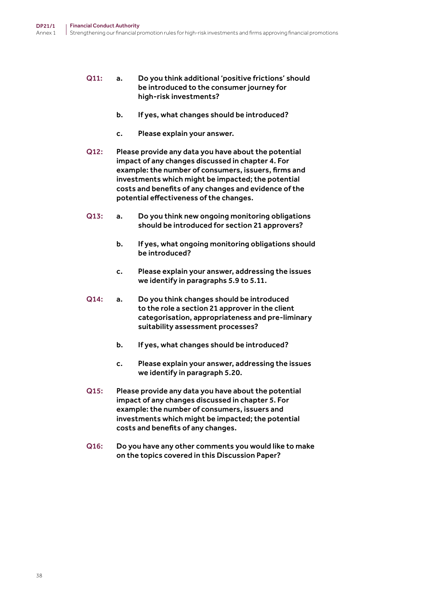#### Q11: a. Do you think additional 'positive frictions' should be introduced to the consumer journey for high-risk investments?

- b. If yes, what changes should be introduced?
- c. Please explain your answer.
- Q12: Please provide any data you have about the potential impact of any changes discussed in chapter 4. For example: the number of consumers, issuers, firms and investments which might be impacted; the potential costs and benefits of any changes and evidence of the potential effectiveness of the changes.
- Q13: a. Do you think new ongoing monitoring obligations should be introduced for section 21 approvers?
	- b. If yes, what ongoing monitoring obligations should be introduced?
	- c. Please explain your answer, addressing the issues we identify in paragraphs 5.9 to 5.11.
- Q14: a. Do you think changes should be introduced to the role a section 21 approver in the client categorisation, appropriateness and pre-liminary suitability assessment processes?
	- b. If yes, what changes should be introduced?
	- c. Please explain your answer, addressing the issues we identify in paragraph 5.20.
- Q15: Please provide any data you have about the potential impact of any changes discussed in chapter 5. For example: the number of consumers, issuers and investments which might be impacted; the potential costs and benefits of any changes.
- Q16: Do you have any other comments you would like to make on the topics covered in this Discussion Paper?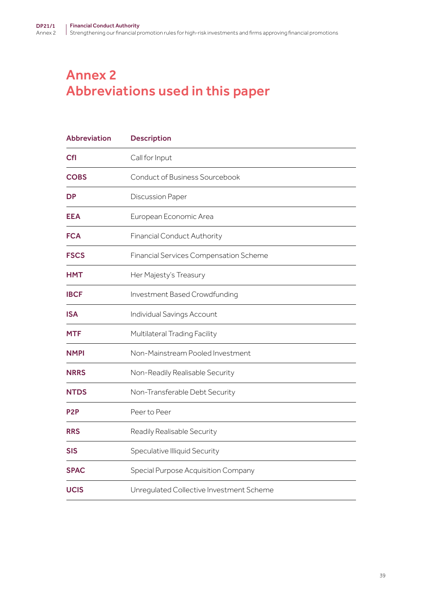# <span id="page-38-0"></span>Annex 2 Abbreviations used in this paper

| <b>Abbreviation</b> | <b>Description</b>                       |
|---------------------|------------------------------------------|
| <b>CfI</b>          | Call for Input                           |
| <b>COBS</b>         | Conduct of Business Sourcebook           |
| <b>DP</b>           | <b>Discussion Paper</b>                  |
| <b>EEA</b>          | European Economic Area                   |
| <b>FCA</b>          | <b>Financial Conduct Authority</b>       |
| <b>FSCS</b>         | Financial Services Compensation Scheme   |
| <b>HMT</b>          | Her Majesty's Treasury                   |
| <b>IBCF</b>         | Investment Based Crowdfunding            |
| <b>ISA</b>          | Individual Savings Account               |
| <b>MTF</b>          | Multilateral Trading Facility            |
| <b>NMPI</b>         | Non-Mainstream Pooled Investment         |
| <b>NRRS</b>         | Non-Readily Realisable Security          |
| <b>NTDS</b>         | Non-Transferable Debt Security           |
| P <sub>2</sub> P    | Peer to Peer                             |
| <b>RRS</b>          | Readily Realisable Security              |
| <b>SIS</b>          | Speculative Illiquid Security            |
| <b>SPAC</b>         | Special Purpose Acquisition Company      |
| <b>UCIS</b>         | Unregulated Collective Investment Scheme |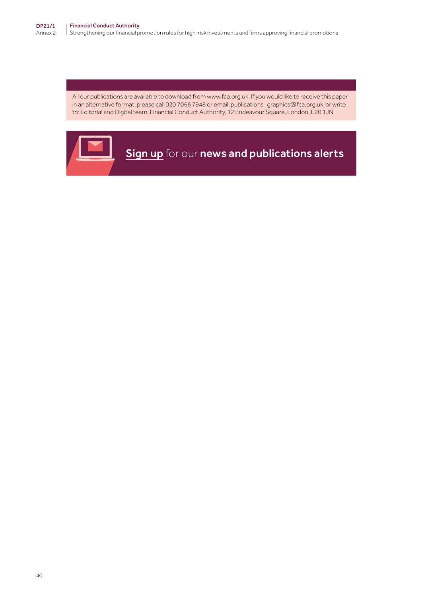All our publications are available to download from www.fca.org.uk. If you would like to receive this paper in an alternative format, please call 020 7066 7948 or email: publications\_graphics@fca.org.uk or write to: Editorial and Digital team, Financial Conduct Authority, 12 Endeavour Square, London, E20 1JN